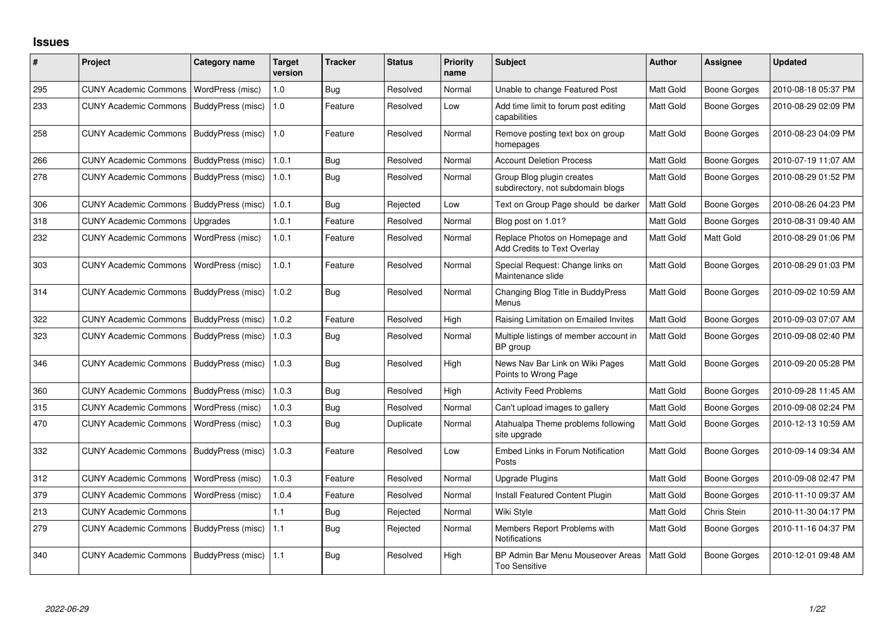## **Issues**

| #   | Project                      | <b>Category name</b> | <b>Target</b><br>version | <b>Tracker</b> | <b>Status</b> | Priority<br>name | <b>Subject</b>                                                 | <b>Author</b> | <b>Assignee</b>     | <b>Updated</b>      |
|-----|------------------------------|----------------------|--------------------------|----------------|---------------|------------------|----------------------------------------------------------------|---------------|---------------------|---------------------|
| 295 | <b>CUNY Academic Commons</b> | WordPress (misc)     | 1.0                      | Bug            | Resolved      | Normal           | Unable to change Featured Post                                 | Matt Gold     | <b>Boone Gorges</b> | 2010-08-18 05:37 PM |
| 233 | <b>CUNY Academic Commons</b> | BuddyPress (misc)    | 1.0                      | Feature        | Resolved      | Low              | Add time limit to forum post editing<br>capabilities           | Matt Gold     | <b>Boone Gorges</b> | 2010-08-29 02:09 PM |
| 258 | <b>CUNY Academic Commons</b> | BuddyPress (misc)    | 1.0                      | Feature        | Resolved      | Normal           | Remove posting text box on group<br>homepages                  | Matt Gold     | <b>Boone Gorges</b> | 2010-08-23 04:09 PM |
| 266 | <b>CUNY Academic Commons</b> | BuddyPress (misc)    | 1.0.1                    | Bug            | Resolved      | Normal           | <b>Account Deletion Process</b>                                | Matt Gold     | <b>Boone Gorges</b> | 2010-07-19 11:07 AM |
| 278 | <b>CUNY Academic Commons</b> | BuddyPress (misc)    | 1.0.1                    | Bug            | Resolved      | Normal           | Group Blog plugin creates<br>subdirectory, not subdomain blogs | Matt Gold     | Boone Gorges        | 2010-08-29 01:52 PM |
| 306 | <b>CUNY Academic Commons</b> | BuddyPress (misc)    | 1.0.1                    | Bug            | Rejected      | Low              | Text on Group Page should be darker                            | Matt Gold     | <b>Boone Gorges</b> | 2010-08-26 04:23 PM |
| 318 | <b>CUNY Academic Commons</b> | Upgrades             | 1.0.1                    | Feature        | Resolved      | Normal           | Blog post on 1.01?                                             | Matt Gold     | Boone Gorges        | 2010-08-31 09:40 AM |
| 232 | <b>CUNY Academic Commons</b> | WordPress (misc)     | 1.0.1                    | Feature        | Resolved      | Normal           | Replace Photos on Homepage and<br>Add Credits to Text Overlay  | Matt Gold     | Matt Gold           | 2010-08-29 01:06 PM |
| 303 | <b>CUNY Academic Commons</b> | WordPress (misc)     | 1.0.1                    | Feature        | Resolved      | Normal           | Special Request: Change links on<br>Maintenance slide          | Matt Gold     | <b>Boone Gorges</b> | 2010-08-29 01:03 PM |
| 314 | <b>CUNY Academic Commons</b> | BuddyPress (misc)    | 1.0.2                    | <b>Bug</b>     | Resolved      | Normal           | Changing Blog Title in BuddyPress<br>Menus                     | Matt Gold     | Boone Gorges        | 2010-09-02 10:59 AM |
| 322 | <b>CUNY Academic Commons</b> | BuddyPress (misc)    | 1.0.2                    | Feature        | Resolved      | High             | Raising Limitation on Emailed Invites                          | Matt Gold     | Boone Gorges        | 2010-09-03 07:07 AM |
| 323 | <b>CUNY Academic Commons</b> | BuddyPress (misc)    | 1.0.3                    | Bug            | Resolved      | Normal           | Multiple listings of member account in<br>BP group             | Matt Gold     | <b>Boone Gorges</b> | 2010-09-08 02:40 PM |
| 346 | <b>CUNY Academic Commons</b> | BuddyPress (misc)    | 1.0.3                    | Bug            | Resolved      | High             | News Nav Bar Link on Wiki Pages<br>Points to Wrong Page        | Matt Gold     | <b>Boone Gorges</b> | 2010-09-20 05:28 PM |
| 360 | <b>CUNY Academic Commons</b> | BuddyPress (misc)    | 1.0.3                    | Bug            | Resolved      | High             | <b>Activity Feed Problems</b>                                  | Matt Gold     | <b>Boone Gorges</b> | 2010-09-28 11:45 AM |
| 315 | <b>CUNY Academic Commons</b> | WordPress (misc)     | 1.0.3                    | <b>Bug</b>     | Resolved      | Normal           | Can't upload images to gallery                                 | Matt Gold     | Boone Gorges        | 2010-09-08 02:24 PM |
| 470 | <b>CUNY Academic Commons</b> | WordPress (misc)     | 1.0.3                    | Bug            | Duplicate     | Normal           | Atahualpa Theme problems following<br>site upgrade             | Matt Gold     | Boone Gorges        | 2010-12-13 10:59 AM |
| 332 | <b>CUNY Academic Commons</b> | BuddyPress (misc)    | 1.0.3                    | Feature        | Resolved      | Low              | Embed Links in Forum Notification<br>Posts                     | Matt Gold     | Boone Gorges        | 2010-09-14 09:34 AM |
| 312 | <b>CUNY Academic Commons</b> | WordPress (misc)     | 1.0.3                    | Feature        | Resolved      | Normal           | Upgrade Plugins                                                | Matt Gold     | <b>Boone Gorges</b> | 2010-09-08 02:47 PM |
| 379 | <b>CUNY Academic Commons</b> | WordPress (misc)     | 1.0.4                    | Feature        | Resolved      | Normal           | Install Featured Content Plugin                                | Matt Gold     | <b>Boone Gorges</b> | 2010-11-10 09:37 AM |
| 213 | <b>CUNY Academic Commons</b> |                      | 1.1                      | Bug            | Rejected      | Normal           | Wiki Style                                                     | Matt Gold     | Chris Stein         | 2010-11-30 04:17 PM |
| 279 | <b>CUNY Academic Commons</b> | BuddyPress (misc)    | 1.1                      | Bug            | Rejected      | Normal           | Members Report Problems with<br>Notifications                  | Matt Gold     | <b>Boone Gorges</b> | 2010-11-16 04:37 PM |
| 340 | <b>CUNY Academic Commons</b> | BuddyPress (misc)    | 1.1                      | <b>Bug</b>     | Resolved      | High             | BP Admin Bar Menu Mouseover Areas<br><b>Too Sensitive</b>      | Matt Gold     | <b>Boone Gorges</b> | 2010-12-01 09:48 AM |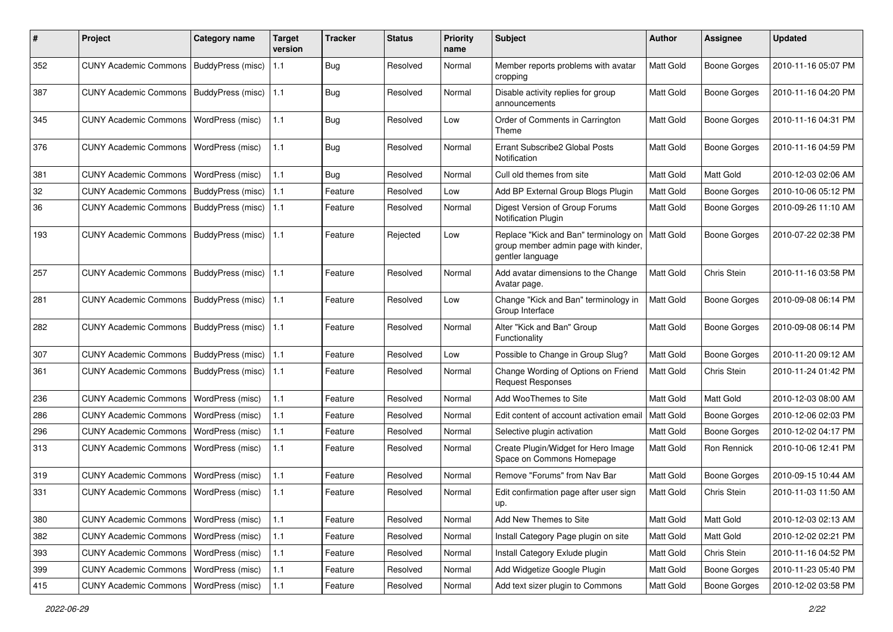| #   | Project                                   | Category name            | Target<br>version | <b>Tracker</b> | <b>Status</b> | <b>Priority</b><br>name | Subject                                                                                           | Author           | <b>Assignee</b>     | <b>Updated</b>      |
|-----|-------------------------------------------|--------------------------|-------------------|----------------|---------------|-------------------------|---------------------------------------------------------------------------------------------------|------------------|---------------------|---------------------|
| 352 | CUNY Academic Commons   BuddyPress (misc) |                          | 1.1               | Bug            | Resolved      | Normal                  | Member reports problems with avatar<br>cropping                                                   | Matt Gold        | Boone Gorges        | 2010-11-16 05:07 PM |
| 387 | <b>CUNY Academic Commons</b>              | BuddyPress (misc)        | 1.1               | Bug            | Resolved      | Normal                  | Disable activity replies for group<br>announcements                                               | Matt Gold        | <b>Boone Gorges</b> | 2010-11-16 04:20 PM |
| 345 | <b>CUNY Academic Commons</b>              | WordPress (misc)         | 1.1               | Bug            | Resolved      | Low                     | Order of Comments in Carrington<br>Theme                                                          | Matt Gold        | Boone Gorges        | 2010-11-16 04:31 PM |
| 376 | <b>CUNY Academic Commons</b>              | WordPress (misc)         | 1.1               | Bug            | Resolved      | Normal                  | Errant Subscribe2 Global Posts<br>Notification                                                    | <b>Matt Gold</b> | Boone Gorges        | 2010-11-16 04:59 PM |
| 381 | <b>CUNY Academic Commons</b>              | WordPress (misc)         | 1.1               | Bug            | Resolved      | Normal                  | Cull old themes from site                                                                         | Matt Gold        | Matt Gold           | 2010-12-03 02:06 AM |
| 32  | <b>CUNY Academic Commons</b>              | <b>BuddyPress</b> (misc) | 1.1               | Feature        | Resolved      | Low                     | Add BP External Group Blogs Plugin                                                                | Matt Gold        | <b>Boone Gorges</b> | 2010-10-06 05:12 PM |
| 36  | <b>CUNY Academic Commons</b>              | BuddyPress (misc)        | 1.1               | Feature        | Resolved      | Normal                  | Digest Version of Group Forums<br>Notification Plugin                                             | Matt Gold        | <b>Boone Gorges</b> | 2010-09-26 11:10 AM |
| 193 | <b>CUNY Academic Commons</b>              | BuddyPress (misc)        | 1.1               | Feature        | Rejected      | Low                     | Replace "Kick and Ban" terminology on<br>group member admin page with kinder,<br>gentler language | Matt Gold        | Boone Gorges        | 2010-07-22 02:38 PM |
| 257 | <b>CUNY Academic Commons</b>              | BuddyPress (misc)        | 1.1               | Feature        | Resolved      | Normal                  | Add avatar dimensions to the Change<br>Avatar page.                                               | Matt Gold        | Chris Stein         | 2010-11-16 03:58 PM |
| 281 | <b>CUNY Academic Commons</b>              | BuddyPress (misc)        | 1.1               | Feature        | Resolved      | Low                     | Change "Kick and Ban" terminology in<br>Group Interface                                           | Matt Gold        | <b>Boone Gorges</b> | 2010-09-08 06:14 PM |
| 282 | <b>CUNY Academic Commons</b>              | BuddyPress (misc)        | 1.1               | Feature        | Resolved      | Normal                  | Alter "Kick and Ban" Group<br>Functionality                                                       | <b>Matt Gold</b> | Boone Gorges        | 2010-09-08 06:14 PM |
| 307 | <b>CUNY Academic Commons</b>              | BuddyPress (misc)        | 1.1               | Feature        | Resolved      | Low                     | Possible to Change in Group Slug?                                                                 | Matt Gold        | Boone Gorges        | 2010-11-20 09:12 AM |
| 361 | CUNY Academic Commons   BuddyPress (misc) |                          | 1.1               | Feature        | Resolved      | Normal                  | Change Wording of Options on Friend<br><b>Request Responses</b>                                   | Matt Gold        | Chris Stein         | 2010-11-24 01:42 PM |
| 236 | <b>CUNY Academic Commons</b>              | WordPress (misc)         | 1.1               | Feature        | Resolved      | Normal                  | Add WooThemes to Site                                                                             | Matt Gold        | Matt Gold           | 2010-12-03 08:00 AM |
| 286 | <b>CUNY Academic Commons</b>              | WordPress (misc)         | 1.1               | Feature        | Resolved      | Normal                  | Edit content of account activation email                                                          | Matt Gold        | <b>Boone Gorges</b> | 2010-12-06 02:03 PM |
| 296 | <b>CUNY Academic Commons</b>              | WordPress (misc)         | 1.1               | Feature        | Resolved      | Normal                  | Selective plugin activation                                                                       | Matt Gold        | Boone Gorges        | 2010-12-02 04:17 PM |
| 313 | <b>CUNY Academic Commons</b>              | WordPress (misc)         | 1.1               | Feature        | Resolved      | Normal                  | Create Plugin/Widget for Hero Image<br>Space on Commons Homepage                                  | <b>Matt Gold</b> | Ron Rennick         | 2010-10-06 12:41 PM |
| 319 | <b>CUNY Academic Commons</b>              | WordPress (misc)         | 1.1               | Feature        | Resolved      | Normal                  | Remove "Forums" from Nav Bar                                                                      | Matt Gold        | <b>Boone Gorges</b> | 2010-09-15 10:44 AM |
| 331 | CUNY Academic Commons   WordPress (misc)  |                          | 1.1               | Feature        | Resolved      | Normal                  | Edit confirmation page after user sign<br>up.                                                     | Matt Gold        | Chris Stein         | 2010-11-03 11:50 AM |
| 380 | CUNY Academic Commons   WordPress (misc)  |                          | $1.1$             | Feature        | Resolved      | Normal                  | Add New Themes to Site                                                                            | Matt Gold        | Matt Gold           | 2010-12-03 02:13 AM |
| 382 | <b>CUNY Academic Commons</b>              | WordPress (misc)         | $1.1$             | Feature        | Resolved      | Normal                  | Install Category Page plugin on site                                                              | Matt Gold        | Matt Gold           | 2010-12-02 02:21 PM |
| 393 | <b>CUNY Academic Commons</b>              | WordPress (misc)         | $1.1$             | Feature        | Resolved      | Normal                  | Install Category Exlude plugin                                                                    | Matt Gold        | Chris Stein         | 2010-11-16 04:52 PM |
| 399 | CUNY Academic Commons   WordPress (misc)  |                          | $1.1$             | Feature        | Resolved      | Normal                  | Add Widgetize Google Plugin                                                                       | Matt Gold        | Boone Gorges        | 2010-11-23 05:40 PM |
| 415 | CUNY Academic Commons   WordPress (misc)  |                          | 1.1               | Feature        | Resolved      | Normal                  | Add text sizer plugin to Commons                                                                  | Matt Gold        | <b>Boone Gorges</b> | 2010-12-02 03:58 PM |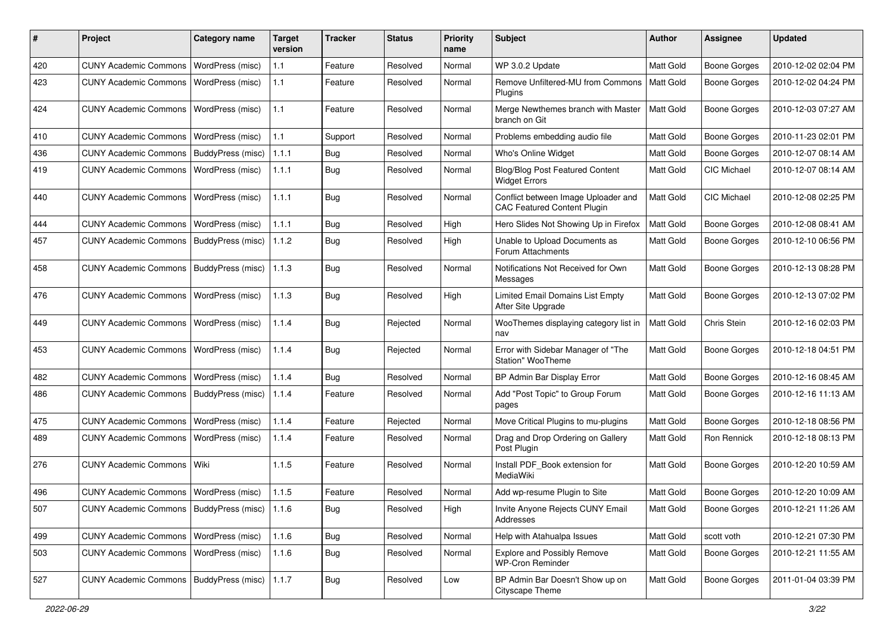| #   | Project                                           | <b>Category name</b>    | <b>Target</b><br>version | Tracker    | <b>Status</b> | <b>Priority</b><br>name | <b>Subject</b>                                                            | Author           | <b>Assignee</b>     | <b>Updated</b>      |
|-----|---------------------------------------------------|-------------------------|--------------------------|------------|---------------|-------------------------|---------------------------------------------------------------------------|------------------|---------------------|---------------------|
| 420 | <b>CUNY Academic Commons</b>                      | WordPress (misc)        | 1.1                      | Feature    | Resolved      | Normal                  | WP 3.0.2 Update                                                           | Matt Gold        | <b>Boone Gorges</b> | 2010-12-02 02:04 PM |
| 423 | <b>CUNY Academic Commons</b>                      | WordPress (misc)        | 1.1                      | Feature    | Resolved      | Normal                  | Remove Unfiltered-MU from Commons<br>Plugins                              | <b>Matt Gold</b> | <b>Boone Gorges</b> | 2010-12-02 04:24 PM |
| 424 | <b>CUNY Academic Commons</b>                      | WordPress (misc)        | 1.1                      | Feature    | Resolved      | Normal                  | Merge Newthemes branch with Master<br>branch on Git                       | Matt Gold        | <b>Boone Gorges</b> | 2010-12-03 07:27 AM |
| 410 | <b>CUNY Academic Commons</b>                      | <b>WordPress (misc)</b> | 1.1                      | Support    | Resolved      | Normal                  | Problems embedding audio file                                             | Matt Gold        | <b>Boone Gorges</b> | 2010-11-23 02:01 PM |
| 436 | <b>CUNY Academic Commons</b>                      | BuddyPress (misc)       | 1.1.1                    | <b>Bug</b> | Resolved      | Normal                  | Who's Online Widget                                                       | Matt Gold        | <b>Boone Gorges</b> | 2010-12-07 08:14 AM |
| 419 | <b>CUNY Academic Commons</b>                      | WordPress (misc)        | 1.1.1                    | <b>Bug</b> | Resolved      | Normal                  | <b>Blog/Blog Post Featured Content</b><br><b>Widget Errors</b>            | Matt Gold        | CIC Michael         | 2010-12-07 08:14 AM |
| 440 | <b>CUNY Academic Commons</b>                      | WordPress (misc)        | 1.1.1                    | <b>Bug</b> | Resolved      | Normal                  | Conflict between Image Uploader and<br><b>CAC Featured Content Plugin</b> | <b>Matt Gold</b> | <b>CIC Michael</b>  | 2010-12-08 02:25 PM |
| 444 | <b>CUNY Academic Commons</b>                      | WordPress (misc)        | 1.1.1                    | <b>Bug</b> | Resolved      | High                    | Hero Slides Not Showing Up in Firefox                                     | Matt Gold        | <b>Boone Gorges</b> | 2010-12-08 08:41 AM |
| 457 | <b>CUNY Academic Commons</b>                      | BuddyPress (misc)       | 1.1.2                    | Bug        | Resolved      | High                    | Unable to Upload Documents as<br>Forum Attachments                        | Matt Gold        | <b>Boone Gorges</b> | 2010-12-10 06:56 PM |
| 458 | <b>CUNY Academic Commons</b>                      | BuddyPress (misc)       | 1.1.3                    | <b>Bug</b> | Resolved      | Normal                  | Notifications Not Received for Own<br>Messages                            | Matt Gold        | Boone Gorges        | 2010-12-13 08:28 PM |
| 476 | <b>CUNY Academic Commons</b>                      | <b>WordPress (misc)</b> | 1.1.3                    | Bug        | Resolved      | High                    | Limited Email Domains List Empty<br>After Site Upgrade                    | Matt Gold        | <b>Boone Gorges</b> | 2010-12-13 07:02 PM |
| 449 | <b>CUNY Academic Commons</b>                      | WordPress (misc)        | 1.1.4                    | <b>Bug</b> | Rejected      | Normal                  | WooThemes displaying category list in<br>nav                              | Matt Gold        | Chris Stein         | 2010-12-16 02:03 PM |
| 453 | <b>CUNY Academic Commons</b>                      | WordPress (misc)        | 1.1.4                    | <b>Bug</b> | Rejected      | Normal                  | Error with Sidebar Manager of "The<br>Station" WooTheme                   | <b>Matt Gold</b> | <b>Boone Gorges</b> | 2010-12-18 04:51 PM |
| 482 | <b>CUNY Academic Commons</b>                      | WordPress (misc)        | 1.1.4                    | <b>Bug</b> | Resolved      | Normal                  | BP Admin Bar Display Error                                                | Matt Gold        | <b>Boone Gorges</b> | 2010-12-16 08:45 AM |
| 486 | <b>CUNY Academic Commons</b>                      | BuddyPress (misc)       | 1.1.4                    | Feature    | Resolved      | Normal                  | Add "Post Topic" to Group Forum<br>pages                                  | <b>Matt Gold</b> | Boone Gorges        | 2010-12-16 11:13 AM |
| 475 | <b>CUNY Academic Commons</b>                      | <b>WordPress (misc)</b> | 1.1.4                    | Feature    | Rejected      | Normal                  | Move Critical Plugins to mu-plugins                                       | Matt Gold        | <b>Boone Gorges</b> | 2010-12-18 08:56 PM |
| 489 | <b>CUNY Academic Commons</b>                      | WordPress (misc)        | 1.1.4                    | Feature    | Resolved      | Normal                  | Drag and Drop Ordering on Gallery<br>Post Plugin                          | Matt Gold        | Ron Rennick         | 2010-12-18 08:13 PM |
| 276 | <b>CUNY Academic Commons</b>                      | l Wiki                  | 1.1.5                    | Feature    | Resolved      | Normal                  | Install PDF_Book extension for<br>MediaWiki                               | <b>Matt Gold</b> | <b>Boone Gorges</b> | 2010-12-20 10:59 AM |
| 496 | <b>CUNY Academic Commons</b>                      | WordPress (misc)        | 1.1.5                    | Feature    | Resolved      | Normal                  | Add wp-resume Plugin to Site                                              | <b>Matt Gold</b> | <b>Boone Gorges</b> | 2010-12-20 10:09 AM |
| 507 | CUNY Academic Commons   BuddyPress (misc)   1.1.6 |                         |                          | <b>Bug</b> | Resolved      | High                    | Invite Anyone Rejects CUNY Email<br>Addresses                             | Matt Gold        | <b>Boone Gorges</b> | 2010-12-21 11:26 AM |
| 499 | <b>CUNY Academic Commons</b>                      | WordPress (misc)        | 1.1.6                    | Bug        | Resolved      | Normal                  | Help with Atahualpa Issues                                                | Matt Gold        | scott voth          | 2010-12-21 07:30 PM |
| 503 | <b>CUNY Academic Commons</b>                      | <b>WordPress (misc)</b> | 1.1.6                    | <b>Bug</b> | Resolved      | Normal                  | <b>Explore and Possibly Remove</b><br><b>WP-Cron Reminder</b>             | Matt Gold        | Boone Gorges        | 2010-12-21 11:55 AM |
| 527 | <b>CUNY Academic Commons</b>                      | BuddyPress (misc)       | 1.1.7                    | Bug        | Resolved      | Low                     | BP Admin Bar Doesn't Show up on<br>Cityscape Theme                        | Matt Gold        | <b>Boone Gorges</b> | 2011-01-04 03:39 PM |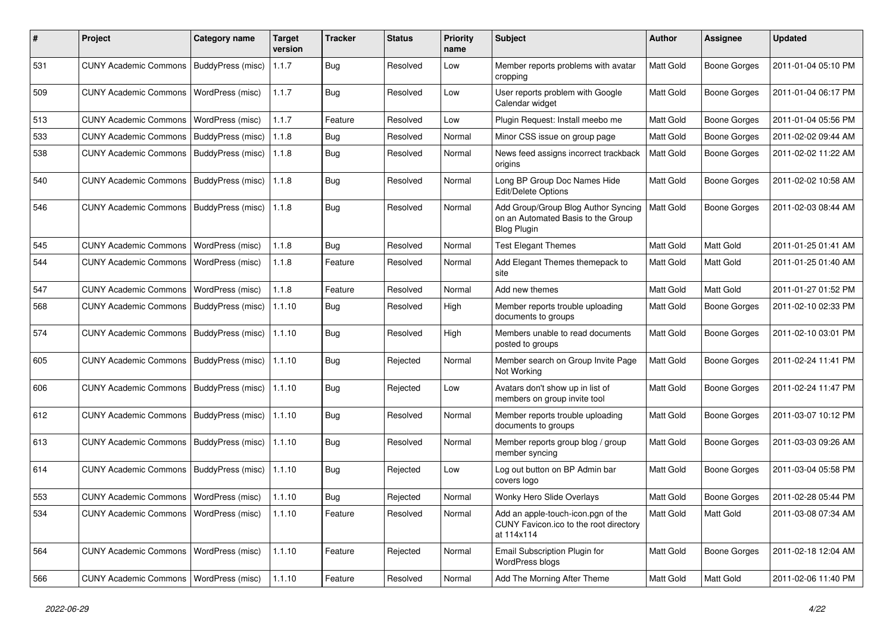| #   | Project                                  | <b>Category name</b> | <b>Target</b><br>version | <b>Tracker</b> | <b>Status</b> | <b>Priority</b><br>name | Subject                                                                                         | <b>Author</b> | <b>Assignee</b>     | <b>Updated</b>      |
|-----|------------------------------------------|----------------------|--------------------------|----------------|---------------|-------------------------|-------------------------------------------------------------------------------------------------|---------------|---------------------|---------------------|
| 531 | <b>CUNY Academic Commons</b>             | BuddyPress (misc)    | 1.1.7                    | <b>Bug</b>     | Resolved      | Low                     | Member reports problems with avatar<br>cropping                                                 | Matt Gold     | <b>Boone Gorges</b> | 2011-01-04 05:10 PM |
| 509 | <b>CUNY Academic Commons</b>             | WordPress (misc)     | 1.1.7                    | <b>Bug</b>     | Resolved      | Low                     | User reports problem with Google<br>Calendar widget                                             | Matt Gold     | <b>Boone Gorges</b> | 2011-01-04 06:17 PM |
| 513 | <b>CUNY Academic Commons</b>             | WordPress (misc)     | 1.1.7                    | Feature        | Resolved      | Low                     | Plugin Request: Install meebo me                                                                | Matt Gold     | <b>Boone Gorges</b> | 2011-01-04 05:56 PM |
| 533 | <b>CUNY Academic Commons</b>             | BuddyPress (misc)    | 1.1.8                    | Bug            | Resolved      | Normal                  | Minor CSS issue on group page                                                                   | Matt Gold     | <b>Boone Gorges</b> | 2011-02-02 09:44 AM |
| 538 | <b>CUNY Academic Commons</b>             | BuddyPress (misc)    | 1.1.8                    | <b>Bug</b>     | Resolved      | Normal                  | News feed assigns incorrect trackback<br>origins                                                | Matt Gold     | Boone Gorges        | 2011-02-02 11:22 AM |
| 540 | <b>CUNY Academic Commons</b>             | BuddyPress (misc)    | 1.1.8                    | Bug            | Resolved      | Normal                  | Long BP Group Doc Names Hide<br><b>Edit/Delete Options</b>                                      | Matt Gold     | <b>Boone Gorges</b> | 2011-02-02 10:58 AM |
| 546 | <b>CUNY Academic Commons</b>             | BuddyPress (misc)    | 1.1.8                    | Bug            | Resolved      | Normal                  | Add Group/Group Blog Author Syncing<br>on an Automated Basis to the Group<br><b>Blog Plugin</b> | Matt Gold     | <b>Boone Gorges</b> | 2011-02-03 08:44 AM |
| 545 | <b>CUNY Academic Commons</b>             | WordPress (misc)     | 1.1.8                    | <b>Bug</b>     | Resolved      | Normal                  | <b>Test Elegant Themes</b>                                                                      | Matt Gold     | <b>Matt Gold</b>    | 2011-01-25 01:41 AM |
| 544 | <b>CUNY Academic Commons</b>             | WordPress (misc)     | 1.1.8                    | Feature        | Resolved      | Normal                  | Add Elegant Themes themepack to<br>site                                                         | Matt Gold     | <b>Matt Gold</b>    | 2011-01-25 01:40 AM |
| 547 | <b>CUNY Academic Commons</b>             | WordPress (misc)     | 1.1.8                    | Feature        | Resolved      | Normal                  | Add new themes                                                                                  | Matt Gold     | Matt Gold           | 2011-01-27 01:52 PM |
| 568 | <b>CUNY Academic Commons</b>             | BuddyPress (misc)    | 1.1.10                   | Bug            | Resolved      | High                    | Member reports trouble uploading<br>documents to groups                                         | Matt Gold     | <b>Boone Gorges</b> | 2011-02-10 02:33 PM |
| 574 | <b>CUNY Academic Commons</b>             | BuddyPress (misc)    | 1.1.10                   | Bug            | Resolved      | High                    | Members unable to read documents<br>posted to groups                                            | Matt Gold     | <b>Boone Gorges</b> | 2011-02-10 03:01 PM |
| 605 | <b>CUNY Academic Commons</b>             | BuddyPress (misc)    | 1.1.10                   | Bug            | Rejected      | Normal                  | Member search on Group Invite Page<br>Not Working                                               | Matt Gold     | <b>Boone Gorges</b> | 2011-02-24 11:41 PM |
| 606 | <b>CUNY Academic Commons</b>             | BuddyPress (misc)    | 1.1.10                   | Bug            | Rejected      | Low                     | Avatars don't show up in list of<br>members on group invite tool                                | Matt Gold     | <b>Boone Gorges</b> | 2011-02-24 11:47 PM |
| 612 | <b>CUNY Academic Commons</b>             | BuddyPress (misc)    | 1.1.10                   | Bug            | Resolved      | Normal                  | Member reports trouble uploading<br>documents to groups                                         | Matt Gold     | <b>Boone Gorges</b> | 2011-03-07 10:12 PM |
| 613 | <b>CUNY Academic Commons</b>             | BuddyPress (misc)    | 1.1.10                   | Bug            | Resolved      | Normal                  | Member reports group blog / group<br>member syncing                                             | Matt Gold     | <b>Boone Gorges</b> | 2011-03-03 09:26 AM |
| 614 | <b>CUNY Academic Commons</b>             | BuddyPress (misc)    | 1.1.10                   | Bug            | Rejected      | Low                     | Log out button on BP Admin bar<br>covers logo                                                   | Matt Gold     | Boone Gorges        | 2011-03-04 05:58 PM |
| 553 | CUNY Academic Commons   WordPress (misc) |                      | 1.1.10                   | Bug            | Rejected      | Normal                  | Wonky Hero Slide Overlays                                                                       | Matt Gold     | <b>Boone Gorges</b> | 2011-02-28 05:44 PM |
| 534 | CUNY Academic Commons   WordPress (misc) |                      | 1.1.10                   | Feature        | Resolved      | Normal                  | Add an apple-touch-icon.pgn of the<br>CUNY Favicon.ico to the root directory<br>at 114x114      | Matt Gold     | Matt Gold           | 2011-03-08 07:34 AM |
| 564 | <b>CUNY Academic Commons</b>             | WordPress (misc)     | 1.1.10                   | Feature        | Rejected      | Normal                  | Email Subscription Plugin for<br>WordPress blogs                                                | Matt Gold     | <b>Boone Gorges</b> | 2011-02-18 12:04 AM |
| 566 | CUNY Academic Commons   WordPress (misc) |                      | 1.1.10                   | Feature        | Resolved      | Normal                  | Add The Morning After Theme                                                                     | Matt Gold     | Matt Gold           | 2011-02-06 11:40 PM |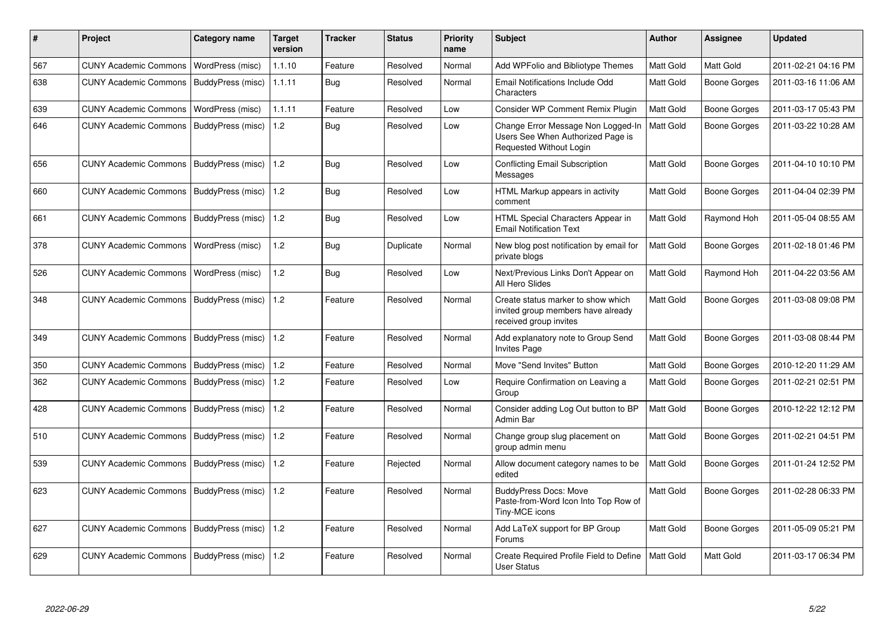| #   | Project                      | Category name     | <b>Target</b><br>version | Tracker    | <b>Status</b> | <b>Priority</b><br>name | <b>Subject</b>                                                                                     | <b>Author</b> | Assignee            | <b>Updated</b>      |
|-----|------------------------------|-------------------|--------------------------|------------|---------------|-------------------------|----------------------------------------------------------------------------------------------------|---------------|---------------------|---------------------|
| 567 | <b>CUNY Academic Commons</b> | WordPress (misc)  | 1.1.10                   | Feature    | Resolved      | Normal                  | Add WPFolio and Bibliotype Themes                                                                  | Matt Gold     | Matt Gold           | 2011-02-21 04:16 PM |
| 638 | <b>CUNY Academic Commons</b> | BuddyPress (misc) | 1.1.11                   | Bug        | Resolved      | Normal                  | Email Notifications Include Odd<br>Characters                                                      | Matt Gold     | Boone Gorges        | 2011-03-16 11:06 AM |
| 639 | <b>CUNY Academic Commons</b> | WordPress (misc)  | 1.1.11                   | Feature    | Resolved      | Low                     | Consider WP Comment Remix Plugin                                                                   | Matt Gold     | Boone Gorges        | 2011-03-17 05:43 PM |
| 646 | <b>CUNY Academic Commons</b> | BuddyPress (misc) | 1.2                      | <b>Bug</b> | Resolved      | Low                     | Change Error Message Non Logged-In<br>Users See When Authorized Page is<br>Requested Without Login | Matt Gold     | <b>Boone Gorges</b> | 2011-03-22 10:28 AM |
| 656 | <b>CUNY Academic Commons</b> | BuddyPress (misc) | 1.2                      | <b>Bug</b> | Resolved      | Low                     | <b>Conflicting Email Subscription</b><br>Messages                                                  | Matt Gold     | Boone Gorges        | 2011-04-10 10:10 PM |
| 660 | <b>CUNY Academic Commons</b> | BuddyPress (misc) | 1.2                      | Bug        | Resolved      | Low                     | HTML Markup appears in activity<br>comment                                                         | Matt Gold     | Boone Gorges        | 2011-04-04 02:39 PM |
| 661 | <b>CUNY Academic Commons</b> | BuddyPress (misc) | 1.2                      | <b>Bug</b> | Resolved      | Low                     | HTML Special Characters Appear in<br><b>Email Notification Text</b>                                | Matt Gold     | Raymond Hoh         | 2011-05-04 08:55 AM |
| 378 | CUNY Academic Commons        | WordPress (misc)  | 1.2                      | Bug        | Duplicate     | Normal                  | New blog post notification by email for<br>private blogs                                           | Matt Gold     | Boone Gorges        | 2011-02-18 01:46 PM |
| 526 | <b>CUNY Academic Commons</b> | WordPress (misc)  | 1.2                      | Bug        | Resolved      | Low                     | Next/Previous Links Don't Appear on<br>All Hero Slides                                             | Matt Gold     | Raymond Hoh         | 2011-04-22 03:56 AM |
| 348 | <b>CUNY Academic Commons</b> | BuddyPress (misc) | 1.2                      | Feature    | Resolved      | Normal                  | Create status marker to show which<br>invited group members have already<br>received group invites | Matt Gold     | Boone Gorges        | 2011-03-08 09:08 PM |
| 349 | <b>CUNY Academic Commons</b> | BuddyPress (misc) | 1.2                      | Feature    | Resolved      | Normal                  | Add explanatory note to Group Send<br><b>Invites Page</b>                                          | Matt Gold     | <b>Boone Gorges</b> | 2011-03-08 08:44 PM |
| 350 | <b>CUNY Academic Commons</b> | BuddyPress (misc) | 1.2                      | Feature    | Resolved      | Normal                  | Move "Send Invites" Button                                                                         | Matt Gold     | Boone Gorges        | 2010-12-20 11:29 AM |
| 362 | <b>CUNY Academic Commons</b> | BuddyPress (misc) | 1.2                      | Feature    | Resolved      | Low                     | Require Confirmation on Leaving a<br>Group                                                         | Matt Gold     | <b>Boone Gorges</b> | 2011-02-21 02:51 PM |
| 428 | <b>CUNY Academic Commons</b> | BuddyPress (misc) | 1.2                      | Feature    | Resolved      | Normal                  | Consider adding Log Out button to BP<br>Admin Bar                                                  | Matt Gold     | Boone Gorges        | 2010-12-22 12:12 PM |
| 510 | <b>CUNY Academic Commons</b> | BuddyPress (misc) | 1.2                      | Feature    | Resolved      | Normal                  | Change group slug placement on<br>group admin menu                                                 | Matt Gold     | Boone Gorges        | 2011-02-21 04:51 PM |
| 539 | <b>CUNY Academic Commons</b> | BuddyPress (misc) | 1.2                      | Feature    | Rejected      | Normal                  | Allow document category names to be<br>edited                                                      | Matt Gold     | Boone Gorges        | 2011-01-24 12:52 PM |
| 623 | <b>CUNY Academic Commons</b> | BuddyPress (misc) | 1.2                      | Feature    | Resolved      | Normal                  | <b>BuddyPress Docs: Move</b><br>Paste-from-Word Icon Into Top Row of<br>Tiny-MCE icons             | Matt Gold     | <b>Boone Gorges</b> | 2011-02-28 06:33 PM |
| 627 | <b>CUNY Academic Commons</b> | BuddyPress (misc) | 1.2                      | Feature    | Resolved      | Normal                  | Add LaTeX support for BP Group<br>Forums                                                           | Matt Gold     | Boone Gorges        | 2011-05-09 05:21 PM |
| 629 | <b>CUNY Academic Commons</b> | BuddyPress (misc) | 1.2                      | Feature    | Resolved      | Normal                  | Create Required Profile Field to Define<br><b>User Status</b>                                      | Matt Gold     | Matt Gold           | 2011-03-17 06:34 PM |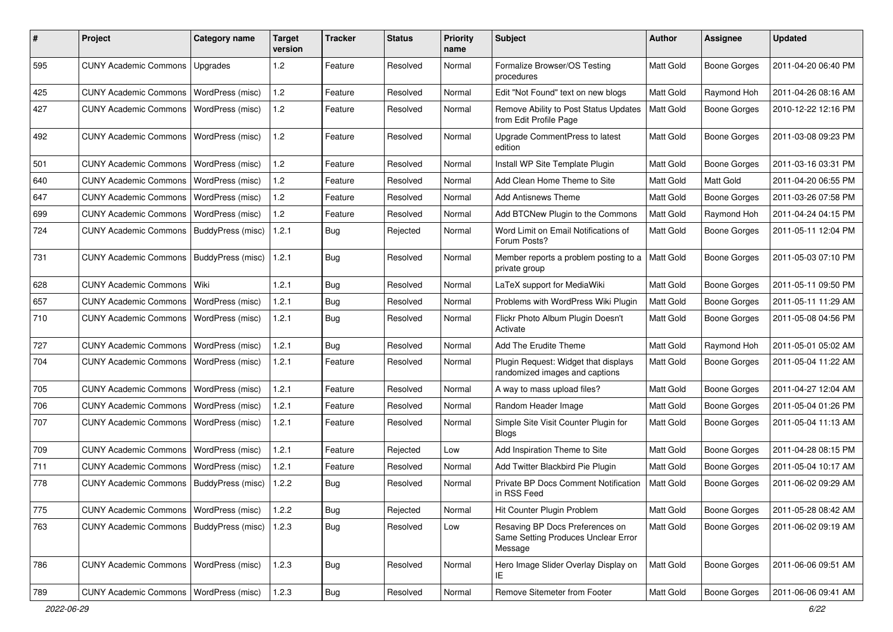| #   | Project                                  | <b>Category name</b>     | <b>Target</b><br>version | Tracker    | <b>Status</b> | <b>Priority</b><br>name | <b>Subject</b>                                                                    | <b>Author</b>    | Assignee            | <b>Updated</b>      |
|-----|------------------------------------------|--------------------------|--------------------------|------------|---------------|-------------------------|-----------------------------------------------------------------------------------|------------------|---------------------|---------------------|
| 595 | <b>CUNY Academic Commons</b>             | Upgrades                 | 1.2                      | Feature    | Resolved      | Normal                  | Formalize Browser/OS Testing<br>procedures                                        | Matt Gold        | <b>Boone Gorges</b> | 2011-04-20 06:40 PM |
| 425 | <b>CUNY Academic Commons</b>             | WordPress (misc)         | 1.2                      | Feature    | Resolved      | Normal                  | Edit "Not Found" text on new blogs                                                | Matt Gold        | Raymond Hoh         | 2011-04-26 08:16 AM |
| 427 | <b>CUNY Academic Commons</b>             | <b>WordPress (misc)</b>  | 1.2                      | Feature    | Resolved      | Normal                  | Remove Ability to Post Status Updates<br>from Edit Profile Page                   | <b>Matt Gold</b> | <b>Boone Gorges</b> | 2010-12-22 12:16 PM |
| 492 | <b>CUNY Academic Commons</b>             | <b>WordPress (misc)</b>  | 1.2                      | Feature    | Resolved      | Normal                  | Upgrade CommentPress to latest<br>edition                                         | Matt Gold        | <b>Boone Gorges</b> | 2011-03-08 09:23 PM |
| 501 | <b>CUNY Academic Commons</b>             | WordPress (misc)         | 1.2                      | Feature    | Resolved      | Normal                  | Install WP Site Template Plugin                                                   | Matt Gold        | Boone Gorges        | 2011-03-16 03:31 PM |
| 640 | <b>CUNY Academic Commons</b>             | <b>WordPress (misc)</b>  | 1.2                      | Feature    | Resolved      | Normal                  | Add Clean Home Theme to Site                                                      | Matt Gold        | Matt Gold           | 2011-04-20 06:55 PM |
| 647 | <b>CUNY Academic Commons</b>             | WordPress (misc)         | 1.2                      | Feature    | Resolved      | Normal                  | <b>Add Antisnews Theme</b>                                                        | Matt Gold        | <b>Boone Gorges</b> | 2011-03-26 07:58 PM |
| 699 | <b>CUNY Academic Commons</b>             | <b>WordPress (misc)</b>  | 1.2                      | Feature    | Resolved      | Normal                  | Add BTCNew Plugin to the Commons                                                  | Matt Gold        | Raymond Hoh         | 2011-04-24 04:15 PM |
| 724 | <b>CUNY Academic Commons</b>             | BuddyPress (misc)        | 1.2.1                    | Bug        | Rejected      | Normal                  | Word Limit on Email Notifications of<br>Forum Posts?                              | Matt Gold        | Boone Gorges        | 2011-05-11 12:04 PM |
| 731 | <b>CUNY Academic Commons</b>             | BuddyPress (misc)        | 1.2.1                    | Bug        | Resolved      | Normal                  | Member reports a problem posting to a   Matt Gold<br>private group                |                  | <b>Boone Gorges</b> | 2011-05-03 07:10 PM |
| 628 | <b>CUNY Academic Commons</b>             | Wiki                     | 1.2.1                    | <b>Bug</b> | Resolved      | Normal                  | LaTeX support for MediaWiki                                                       | Matt Gold        | Boone Gorges        | 2011-05-11 09:50 PM |
| 657 | <b>CUNY Academic Commons</b>             | WordPress (misc)         | 1.2.1                    | Bug        | Resolved      | Normal                  | Problems with WordPress Wiki Plugin                                               | Matt Gold        | <b>Boone Gorges</b> | 2011-05-11 11:29 AM |
| 710 | <b>CUNY Academic Commons</b>             | WordPress (misc)         | 1.2.1                    | Bug        | Resolved      | Normal                  | Flickr Photo Album Plugin Doesn't<br>Activate                                     | Matt Gold        | <b>Boone Gorges</b> | 2011-05-08 04:56 PM |
| 727 | <b>CUNY Academic Commons</b>             | WordPress (misc)         | 1.2.1                    | <b>Bug</b> | Resolved      | Normal                  | Add The Erudite Theme                                                             | Matt Gold        | Raymond Hoh         | 2011-05-01 05:02 AM |
| 704 | <b>CUNY Academic Commons</b>             | WordPress (misc)         | 1.2.1                    | Feature    | Resolved      | Normal                  | Plugin Request: Widget that displays<br>randomized images and captions            | Matt Gold        | <b>Boone Gorges</b> | 2011-05-04 11:22 AM |
| 705 | <b>CUNY Academic Commons</b>             | WordPress (misc)         | 1.2.1                    | Feature    | Resolved      | Normal                  | A way to mass upload files?                                                       | Matt Gold        | <b>Boone Gorges</b> | 2011-04-27 12:04 AM |
| 706 | <b>CUNY Academic Commons</b>             | WordPress (misc)         | 1.2.1                    | Feature    | Resolved      | Normal                  | Random Header Image                                                               | Matt Gold        | Boone Gorges        | 2011-05-04 01:26 PM |
| 707 | <b>CUNY Academic Commons</b>             | WordPress (misc)         | 1.2.1                    | Feature    | Resolved      | Normal                  | Simple Site Visit Counter Plugin for<br><b>Blogs</b>                              | Matt Gold        | <b>Boone Gorges</b> | 2011-05-04 11:13 AM |
| 709 | <b>CUNY Academic Commons</b>             | WordPress (misc)         | 1.2.1                    | Feature    | Rejected      | Low                     | Add Inspiration Theme to Site                                                     | Matt Gold        | <b>Boone Gorges</b> | 2011-04-28 08:15 PM |
| 711 | <b>CUNY Academic Commons</b>             | <b>WordPress (misc)</b>  | 1.2.1                    | Feature    | Resolved      | Normal                  | Add Twitter Blackbird Pie Plugin                                                  | Matt Gold        | <b>Boone Gorges</b> | 2011-05-04 10:17 AM |
| 778 | <b>CUNY Academic Commons</b>             | BuddyPress (misc)        | 1.2.2                    | Bug        | Resolved      | Normal                  | Private BP Docs Comment Notification<br>in RSS Feed                               | Matt Gold        | Boone Gorges        | 2011-06-02 09:29 AM |
| 775 | CUNY Academic Commons   WordPress (misc) |                          | 1.2.2                    | Bug        | Rejected      | Normal                  | Hit Counter Plugin Problem                                                        | Matt Gold        | <b>Boone Gorges</b> | 2011-05-28 08:42 AM |
| 763 | <b>CUNY Academic Commons</b>             | <b>BuddyPress (misc)</b> | 1.2.3                    | <b>Bug</b> | Resolved      | Low                     | Resaving BP Docs Preferences on<br>Same Setting Produces Unclear Error<br>Message | Matt Gold        | Boone Gorges        | 2011-06-02 09:19 AM |
| 786 | <b>CUNY Academic Commons</b>             | WordPress (misc)         | 1.2.3                    | Bug        | Resolved      | Normal                  | Hero Image Slider Overlay Display on<br>IE                                        | Matt Gold        | <b>Boone Gorges</b> | 2011-06-06 09:51 AM |
| 789 | CUNY Academic Commons   WordPress (misc) |                          | 1.2.3                    | Bug        | Resolved      | Normal                  | Remove Sitemeter from Footer                                                      | Matt Gold        | <b>Boone Gorges</b> | 2011-06-06 09:41 AM |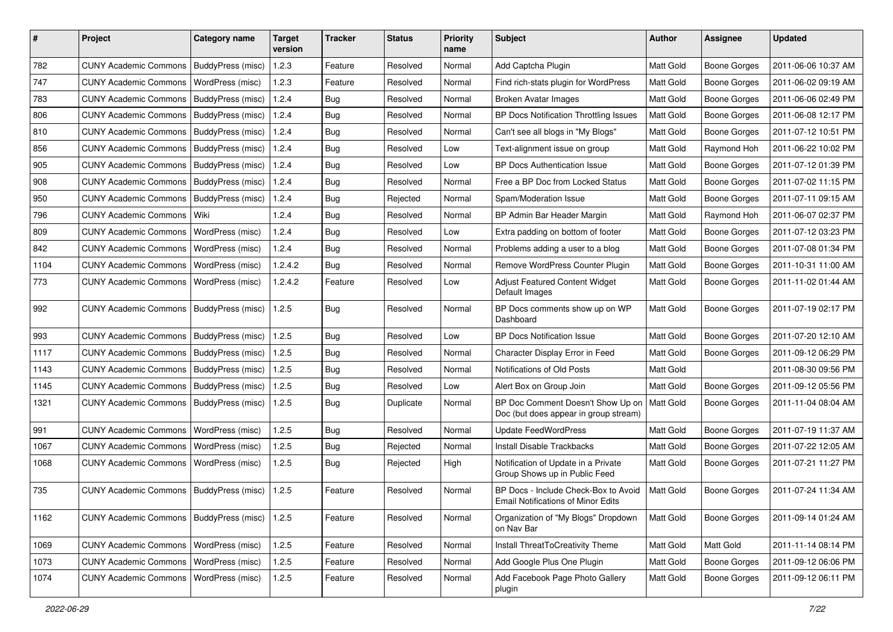| ∦    | Project                                   | Category name           | <b>Target</b><br>version | <b>Tracker</b> | <b>Status</b> | <b>Priority</b><br>name | <b>Subject</b>                                                                    | Author           | <b>Assignee</b>     | <b>Updated</b>      |
|------|-------------------------------------------|-------------------------|--------------------------|----------------|---------------|-------------------------|-----------------------------------------------------------------------------------|------------------|---------------------|---------------------|
| 782  | <b>CUNY Academic Commons</b>              | BuddyPress (misc)       | 1.2.3                    | Feature        | Resolved      | Normal                  | Add Captcha Plugin                                                                | Matt Gold        | <b>Boone Gorges</b> | 2011-06-06 10:37 AM |
| 747  | <b>CUNY Academic Commons</b>              | WordPress (misc)        | 1.2.3                    | Feature        | Resolved      | Normal                  | Find rich-stats plugin for WordPress                                              | Matt Gold        | <b>Boone Gorges</b> | 2011-06-02 09:19 AM |
| 783  | <b>CUNY Academic Commons</b>              | BuddyPress (misc)       | 1.2.4                    | Bug            | Resolved      | Normal                  | <b>Broken Avatar Images</b>                                                       | Matt Gold        | <b>Boone Gorges</b> | 2011-06-06 02:49 PM |
| 806  | <b>CUNY Academic Commons</b>              | BuddyPress (misc)       | 1.2.4                    | <b>Bug</b>     | Resolved      | Normal                  | BP Docs Notification Throttling Issues                                            | Matt Gold        | <b>Boone Gorges</b> | 2011-06-08 12:17 PM |
| 810  | <b>CUNY Academic Commons</b>              | BuddyPress (misc)       | 1.2.4                    | Bug            | Resolved      | Normal                  | Can't see all blogs in "My Blogs"                                                 | Matt Gold        | Boone Gorges        | 2011-07-12 10:51 PM |
| 856  | CUNY Academic Commons   BuddyPress (misc) |                         | 1.2.4                    | Bug            | Resolved      | Low                     | Text-alignment issue on group                                                     | Matt Gold        | Raymond Hoh         | 2011-06-22 10:02 PM |
| 905  | <b>CUNY Academic Commons</b>              | BuddyPress (misc)       | 1.2.4                    | Bug            | Resolved      | Low                     | BP Docs Authentication Issue                                                      | Matt Gold        | <b>Boone Gorges</b> | 2011-07-12 01:39 PM |
| 908  | <b>CUNY Academic Commons</b>              | BuddyPress (misc)       | 1.2.4                    | Bug            | Resolved      | Normal                  | Free a BP Doc from Locked Status                                                  | Matt Gold        | <b>Boone Gorges</b> | 2011-07-02 11:15 PM |
| 950  | <b>CUNY Academic Commons</b>              | BuddyPress (misc)       | 1.2.4                    | <b>Bug</b>     | Rejected      | Normal                  | Spam/Moderation Issue                                                             | Matt Gold        | <b>Boone Gorges</b> | 2011-07-11 09:15 AM |
| 796  | <b>CUNY Academic Commons</b>              | l Wiki                  | 1.2.4                    | Bug            | Resolved      | Normal                  | BP Admin Bar Header Margin                                                        | Matt Gold        | Raymond Hoh         | 2011-06-07 02:37 PM |
| 809  | <b>CUNY Academic Commons</b>              | <b>WordPress (misc)</b> | 1.2.4                    | Bug            | Resolved      | Low                     | Extra padding on bottom of footer                                                 | Matt Gold        | <b>Boone Gorges</b> | 2011-07-12 03:23 PM |
| 842  | <b>CUNY Academic Commons</b>              | WordPress (misc)        | 1.2.4                    | Bug            | Resolved      | Normal                  | Problems adding a user to a blog                                                  | Matt Gold        | <b>Boone Gorges</b> | 2011-07-08 01:34 PM |
| 1104 | <b>CUNY Academic Commons</b>              | WordPress (misc)        | 1.2.4.2                  | Bug            | Resolved      | Normal                  | Remove WordPress Counter Plugin                                                   | Matt Gold        | <b>Boone Gorges</b> | 2011-10-31 11:00 AM |
| 773  | <b>CUNY Academic Commons</b>              | WordPress (misc)        | 1.2.4.2                  | Feature        | Resolved      | Low                     | Adjust Featured Content Widget<br>Default Images                                  | <b>Matt Gold</b> | Boone Gorges        | 2011-11-02 01:44 AM |
| 992  | <b>CUNY Academic Commons</b>              | BuddyPress (misc)       | 1.2.5                    | Bug            | Resolved      | Normal                  | BP Docs comments show up on WP<br>Dashboard                                       | Matt Gold        | <b>Boone Gorges</b> | 2011-07-19 02:17 PM |
| 993  | <b>CUNY Academic Commons</b>              | BuddyPress (misc)       | 1.2.5                    | Bug            | Resolved      | Low                     | <b>BP Docs Notification Issue</b>                                                 | Matt Gold        | <b>Boone Gorges</b> | 2011-07-20 12:10 AM |
| 1117 | CUNY Academic Commons   BuddyPress (misc) |                         | 1.2.5                    | Bug            | Resolved      | Normal                  | Character Display Error in Feed                                                   | Matt Gold        | <b>Boone Gorges</b> | 2011-09-12 06:29 PM |
| 1143 | <b>CUNY Academic Commons</b>              | BuddyPress (misc)       | 1.2.5                    | Bug            | Resolved      | Normal                  | Notifications of Old Posts                                                        | Matt Gold        |                     | 2011-08-30 09:56 PM |
| 1145 | <b>CUNY Academic Commons</b>              | BuddyPress (misc)       | 1.2.5                    | <b>Bug</b>     | Resolved      | Low                     | Alert Box on Group Join                                                           | Matt Gold        | <b>Boone Gorges</b> | 2011-09-12 05:56 PM |
| 1321 | CUNY Academic Commons   BuddyPress (misc) |                         | 1.2.5                    | Bug            | Duplicate     | Normal                  | BP Doc Comment Doesn't Show Up on<br>Doc (but does appear in group stream)        | Matt Gold        | <b>Boone Gorges</b> | 2011-11-04 08:04 AM |
| 991  | <b>CUNY Academic Commons</b>              | <b>WordPress (misc)</b> | 1.2.5                    | Bug            | Resolved      | Normal                  | <b>Update FeedWordPress</b>                                                       | Matt Gold        | <b>Boone Gorges</b> | 2011-07-19 11:37 AM |
| 1067 | <b>CUNY Academic Commons</b>              | WordPress (misc)        | 1.2.5                    | Bug            | Rejected      | Normal                  | <b>Install Disable Trackbacks</b>                                                 | Matt Gold        | <b>Boone Gorges</b> | 2011-07-22 12:05 AM |
| 1068 | <b>CUNY Academic Commons</b>              | WordPress (misc)        | 1.2.5                    | Bug            | Rejected      | High                    | Notification of Update in a Private<br>Group Shows up in Public Feed              | Matt Gold        | <b>Boone Gorges</b> | 2011-07-21 11:27 PM |
| 735  | CUNY Academic Commons   BuddyPress (misc) |                         | 1.2.5                    | Feature        | Resolved      | Normal                  | BP Docs - Include Check-Box to Avoid<br><b>Email Notifications of Minor Edits</b> | Matt Gold        | <b>Boone Gorges</b> | 2011-07-24 11:34 AM |
| 1162 | CUNY Academic Commons   BuddyPress (misc) |                         | 1.2.5                    | Feature        | Resolved      | Normal                  | Organization of "My Blogs" Dropdown<br>on Nav Bar                                 | <b>Matt Gold</b> | <b>Boone Gorges</b> | 2011-09-14 01:24 AM |
| 1069 | <b>CUNY Academic Commons</b>              | WordPress (misc)        | 1.2.5                    | Feature        | Resolved      | Normal                  | Install ThreatToCreativity Theme                                                  | Matt Gold        | Matt Gold           | 2011-11-14 08:14 PM |
| 1073 | <b>CUNY Academic Commons</b>              | WordPress (misc)        | 1.2.5                    | Feature        | Resolved      | Normal                  | Add Google Plus One Plugin                                                        | Matt Gold        | Boone Gorges        | 2011-09-12 06:06 PM |
| 1074 | <b>CUNY Academic Commons</b>              | <b>WordPress (misc)</b> | 1.2.5                    | Feature        | Resolved      | Normal                  | Add Facebook Page Photo Gallery<br>plugin                                         | Matt Gold        | <b>Boone Gorges</b> | 2011-09-12 06:11 PM |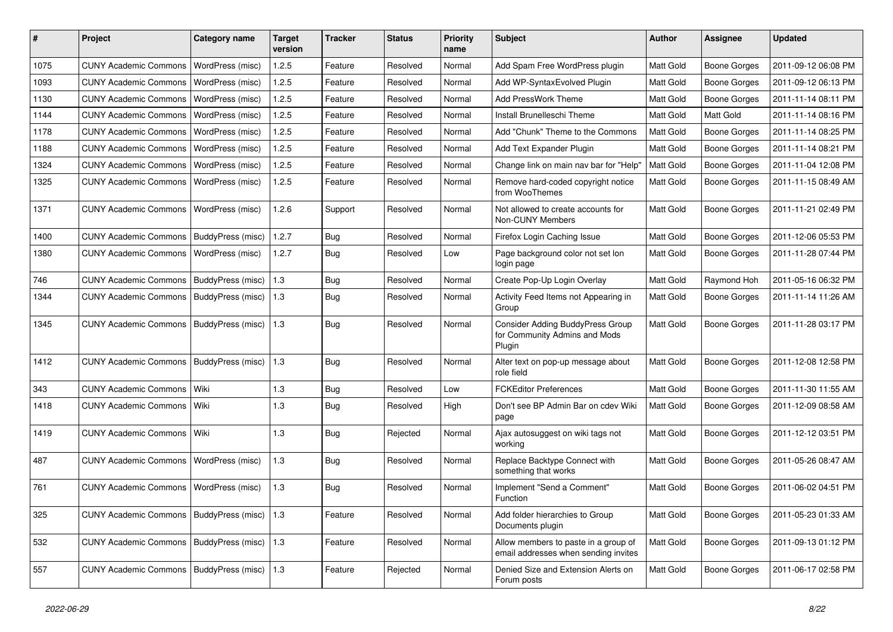| #    | Project                                         | Category name     | <b>Target</b><br>version | Tracker    | <b>Status</b> | <b>Priority</b><br>name | <b>Subject</b>                                                               | <b>Author</b>    | <b>Assignee</b>     | <b>Updated</b>      |
|------|-------------------------------------------------|-------------------|--------------------------|------------|---------------|-------------------------|------------------------------------------------------------------------------|------------------|---------------------|---------------------|
| 1075 | <b>CUNY Academic Commons</b>                    | WordPress (misc)  | 1.2.5                    | Feature    | Resolved      | Normal                  | Add Spam Free WordPress plugin                                               | Matt Gold        | <b>Boone Gorges</b> | 2011-09-12 06:08 PM |
| 1093 | <b>CUNY Academic Commons</b>                    | WordPress (misc)  | 1.2.5                    | Feature    | Resolved      | Normal                  | Add WP-SyntaxEvolved Plugin                                                  | Matt Gold        | <b>Boone Gorges</b> | 2011-09-12 06:13 PM |
| 1130 | <b>CUNY Academic Commons</b>                    | WordPress (misc)  | 1.2.5                    | Feature    | Resolved      | Normal                  | Add PressWork Theme                                                          | Matt Gold        | Boone Gorges        | 2011-11-14 08:11 PM |
| 1144 | <b>CUNY Academic Commons</b>                    | WordPress (misc)  | 1.2.5                    | Feature    | Resolved      | Normal                  | Install Brunelleschi Theme                                                   | Matt Gold        | Matt Gold           | 2011-11-14 08:16 PM |
| 1178 | <b>CUNY Academic Commons</b>                    | WordPress (misc)  | 1.2.5                    | Feature    | Resolved      | Normal                  | Add "Chunk" Theme to the Commons                                             | Matt Gold        | <b>Boone Gorges</b> | 2011-11-14 08:25 PM |
| 1188 | <b>CUNY Academic Commons</b>                    | WordPress (misc)  | 1.2.5                    | Feature    | Resolved      | Normal                  | Add Text Expander Plugin                                                     | Matt Gold        | <b>Boone Gorges</b> | 2011-11-14 08:21 PM |
| 1324 | <b>CUNY Academic Commons</b>                    | WordPress (misc)  | 1.2.5                    | Feature    | Resolved      | Normal                  | Change link on main nav bar for "Help"                                       | Matt Gold        | <b>Boone Gorges</b> | 2011-11-04 12:08 PM |
| 1325 | <b>CUNY Academic Commons</b>                    | WordPress (misc)  | 1.2.5                    | Feature    | Resolved      | Normal                  | Remove hard-coded copyright notice<br>from WooThemes                         | Matt Gold        | Boone Gorges        | 2011-11-15 08:49 AM |
| 1371 | <b>CUNY Academic Commons</b>                    | WordPress (misc)  | 1.2.6                    | Support    | Resolved      | Normal                  | Not allowed to create accounts for<br>Non-CUNY Members                       | <b>Matt Gold</b> | <b>Boone Gorges</b> | 2011-11-21 02:49 PM |
| 1400 | <b>CUNY Academic Commons</b>                    | BuddyPress (misc) | 1.2.7                    | Bug        | Resolved      | Normal                  | Firefox Login Caching Issue                                                  | Matt Gold        | <b>Boone Gorges</b> | 2011-12-06 05:53 PM |
| 1380 | <b>CUNY Academic Commons</b>                    | WordPress (misc)  | 1.2.7                    | <b>Bug</b> | Resolved      | Low                     | Page background color not set lon<br>login page                              | Matt Gold        | Boone Gorges        | 2011-11-28 07:44 PM |
| 746  | <b>CUNY Academic Commons</b>                    | BuddyPress (misc) | 1.3                      | Bug        | Resolved      | Normal                  | Create Pop-Up Login Overlay                                                  | Matt Gold        | Raymond Hoh         | 2011-05-16 06:32 PM |
| 1344 | <b>CUNY Academic Commons</b>                    | BuddyPress (misc) | 1.3                      | <b>Bug</b> | Resolved      | Normal                  | Activity Feed Items not Appearing in<br>Group                                | Matt Gold        | <b>Boone Gorges</b> | 2011-11-14 11:26 AM |
| 1345 | <b>CUNY Academic Commons</b>                    | BuddyPress (misc) | $\vert$ 1.3              | <b>Bug</b> | Resolved      | Normal                  | Consider Adding BuddyPress Group<br>for Community Admins and Mods<br>Plugin  | <b>Matt Gold</b> | Boone Gorges        | 2011-11-28 03:17 PM |
| 1412 | <b>CUNY Academic Commons</b>                    | BuddyPress (misc) | 1.3                      | <b>Bug</b> | Resolved      | Normal                  | Alter text on pop-up message about<br>role field                             | Matt Gold        | <b>Boone Gorges</b> | 2011-12-08 12:58 PM |
| 343  | <b>CUNY Academic Commons</b>                    | l Wiki            | 1.3                      | <b>Bug</b> | Resolved      | Low                     | <b>FCKEditor Preferences</b>                                                 | Matt Gold        | <b>Boone Gorges</b> | 2011-11-30 11:55 AM |
| 1418 | <b>CUNY Academic Commons</b>                    | Wiki              | 1.3                      | <b>Bug</b> | Resolved      | High                    | Don't see BP Admin Bar on cdev Wiki<br>page                                  | Matt Gold        | Boone Gorges        | 2011-12-09 08:58 AM |
| 1419 | <b>CUNY Academic Commons</b>                    | Wiki              | 1.3                      | <b>Bug</b> | Rejected      | Normal                  | Ajax autosuggest on wiki tags not<br>working                                 | Matt Gold        | Boone Gorges        | 2011-12-12 03:51 PM |
| 487  | <b>CUNY Academic Commons</b>                    | WordPress (misc)  | 1.3                      | <b>Bug</b> | Resolved      | Normal                  | Replace Backtype Connect with<br>something that works                        | Matt Gold        | Boone Gorges        | 2011-05-26 08:47 AM |
| 761  | <b>CUNY Academic Commons</b>                    | WordPress (misc)  | 1.3                      | <b>Bug</b> | Resolved      | Normal                  | Implement "Send a Comment"<br>Function                                       | Matt Gold        | Boone Gorges        | 2011-06-02 04:51 PM |
| 325  | CUNY Academic Commons   BuddyPress (misc)   1.3 |                   |                          | Feature    | Resolved      | Normal                  | Add folder hierarchies to Group<br>Documents plugin                          | Matt Gold        | Boone Gorges        | 2011-05-23 01:33 AM |
| 532  | CUNY Academic Commons   BuddyPress (misc)   1.3 |                   |                          | Feature    | Resolved      | Normal                  | Allow members to paste in a group of<br>email addresses when sending invites | Matt Gold        | Boone Gorges        | 2011-09-13 01:12 PM |
| 557  | CUNY Academic Commons   BuddyPress (misc)   1.3 |                   |                          | Feature    | Rejected      | Normal                  | Denied Size and Extension Alerts on<br>Forum posts                           | Matt Gold        | Boone Gorges        | 2011-06-17 02:58 PM |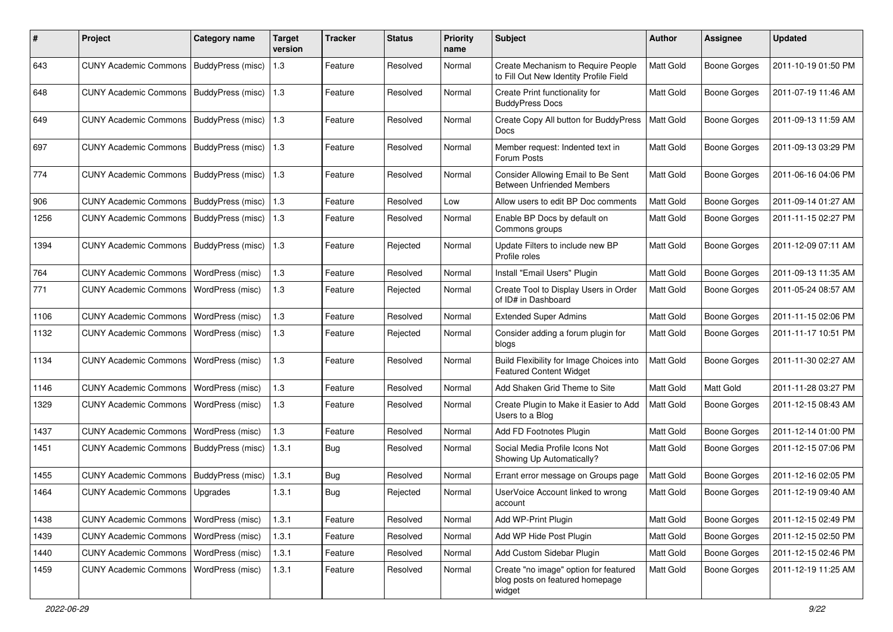| #    | Project                      | <b>Category name</b>     | <b>Target</b><br>version | <b>Tracker</b> | <b>Status</b> | <b>Priority</b><br>name | <b>Subject</b>                                                                     | <b>Author</b> | <b>Assignee</b>     | <b>Updated</b>      |
|------|------------------------------|--------------------------|--------------------------|----------------|---------------|-------------------------|------------------------------------------------------------------------------------|---------------|---------------------|---------------------|
| 643  | <b>CUNY Academic Commons</b> | BuddyPress (misc)        | 1.3                      | Feature        | Resolved      | Normal                  | Create Mechanism to Require People<br>to Fill Out New Identity Profile Field       | Matt Gold     | <b>Boone Gorges</b> | 2011-10-19 01:50 PM |
| 648  | <b>CUNY Academic Commons</b> | BuddyPress (misc)        | 1.3                      | Feature        | Resolved      | Normal                  | Create Print functionality for<br><b>BuddyPress Docs</b>                           | Matt Gold     | <b>Boone Gorges</b> | 2011-07-19 11:46 AM |
| 649  | <b>CUNY Academic Commons</b> | BuddyPress (misc)        | 1.3                      | Feature        | Resolved      | Normal                  | Create Copy All button for BuddyPress<br>Docs                                      | Matt Gold     | <b>Boone Gorges</b> | 2011-09-13 11:59 AM |
| 697  | <b>CUNY Academic Commons</b> | <b>BuddyPress (misc)</b> | 1.3                      | Feature        | Resolved      | Normal                  | Member request: Indented text in<br>Forum Posts                                    | Matt Gold     | <b>Boone Gorges</b> | 2011-09-13 03:29 PM |
| 774  | <b>CUNY Academic Commons</b> | <b>BuddyPress (misc)</b> | 1.3                      | Feature        | Resolved      | Normal                  | Consider Allowing Email to Be Sent<br><b>Between Unfriended Members</b>            | Matt Gold     | <b>Boone Gorges</b> | 2011-06-16 04:06 PM |
| 906  | <b>CUNY Academic Commons</b> | <b>BuddyPress (misc)</b> | 1.3                      | Feature        | Resolved      | Low                     | Allow users to edit BP Doc comments                                                | Matt Gold     | <b>Boone Gorges</b> | 2011-09-14 01:27 AM |
| 1256 | <b>CUNY Academic Commons</b> | BuddyPress (misc)        | 1.3                      | Feature        | Resolved      | Normal                  | Enable BP Docs by default on<br>Commons groups                                     | Matt Gold     | <b>Boone Gorges</b> | 2011-11-15 02:27 PM |
| 1394 | <b>CUNY Academic Commons</b> | BuddyPress (misc)        | 1.3                      | Feature        | Rejected      | Normal                  | Update Filters to include new BP<br>Profile roles                                  | Matt Gold     | <b>Boone Gorges</b> | 2011-12-09 07:11 AM |
| 764  | <b>CUNY Academic Commons</b> | WordPress (misc)         | 1.3                      | Feature        | Resolved      | Normal                  | Install "Email Users" Plugin                                                       | Matt Gold     | <b>Boone Gorges</b> | 2011-09-13 11:35 AM |
| 771  | <b>CUNY Academic Commons</b> | WordPress (misc)         | 1.3                      | Feature        | Rejected      | Normal                  | Create Tool to Display Users in Order<br>of ID# in Dashboard                       | Matt Gold     | <b>Boone Gorges</b> | 2011-05-24 08:57 AM |
| 1106 | <b>CUNY Academic Commons</b> | WordPress (misc)         | 1.3                      | Feature        | Resolved      | Normal                  | <b>Extended Super Admins</b>                                                       | Matt Gold     | <b>Boone Gorges</b> | 2011-11-15 02:06 PM |
| 1132 | <b>CUNY Academic Commons</b> | WordPress (misc)         | 1.3                      | Feature        | Rejected      | Normal                  | Consider adding a forum plugin for<br>blogs                                        | Matt Gold     | <b>Boone Gorges</b> | 2011-11-17 10:51 PM |
| 1134 | <b>CUNY Academic Commons</b> | WordPress (misc)         | 1.3                      | Feature        | Resolved      | Normal                  | Build Flexibility for Image Choices into<br><b>Featured Content Widget</b>         | Matt Gold     | <b>Boone Gorges</b> | 2011-11-30 02:27 AM |
| 1146 | <b>CUNY Academic Commons</b> | WordPress (misc)         | 1.3                      | Feature        | Resolved      | Normal                  | Add Shaken Grid Theme to Site                                                      | Matt Gold     | Matt Gold           | 2011-11-28 03:27 PM |
| 1329 | <b>CUNY Academic Commons</b> | WordPress (misc)         | 1.3                      | Feature        | Resolved      | Normal                  | Create Plugin to Make it Easier to Add<br>Users to a Blog                          | Matt Gold     | <b>Boone Gorges</b> | 2011-12-15 08:43 AM |
| 1437 | <b>CUNY Academic Commons</b> | WordPress (misc)         | 1.3                      | Feature        | Resolved      | Normal                  | Add FD Footnotes Plugin                                                            | Matt Gold     | Boone Gorges        | 2011-12-14 01:00 PM |
| 1451 | <b>CUNY Academic Commons</b> | BuddyPress (misc)        | 1.3.1                    | Bug            | Resolved      | Normal                  | Social Media Profile Icons Not<br>Showing Up Automatically?                        | Matt Gold     | <b>Boone Gorges</b> | 2011-12-15 07:06 PM |
| 1455 | <b>CUNY Academic Commons</b> | <b>BuddyPress</b> (misc) | 1.3.1                    | Bug            | Resolved      | Normal                  | Errant error message on Groups page                                                | Matt Gold     | <b>Boone Gorges</b> | 2011-12-16 02:05 PM |
| 1464 | <b>CUNY Academic Commons</b> | Upgrades                 | 1.3.1                    | <b>Bug</b>     | Rejected      | Normal                  | UserVoice Account linked to wrong<br>account                                       | Matt Gold     | <b>Boone Gorges</b> | 2011-12-19 09:40 AM |
| 1438 | <b>CUNY Academic Commons</b> | WordPress (misc)         | 1.3.1                    | Feature        | Resolved      | Normal                  | Add WP-Print Plugin                                                                | Matt Gold     | Boone Gorges        | 2011-12-15 02:49 PM |
| 1439 | <b>CUNY Academic Commons</b> | WordPress (misc)         | 1.3.1                    | Feature        | Resolved      | Normal                  | Add WP Hide Post Plugin                                                            | Matt Gold     | Boone Gorges        | 2011-12-15 02:50 PM |
| 1440 | <b>CUNY Academic Commons</b> | WordPress (misc)         | 1.3.1                    | Feature        | Resolved      | Normal                  | Add Custom Sidebar Plugin                                                          | Matt Gold     | <b>Boone Gorges</b> | 2011-12-15 02:46 PM |
| 1459 | <b>CUNY Academic Commons</b> | WordPress (misc)         | 1.3.1                    | Feature        | Resolved      | Normal                  | Create "no image" option for featured<br>blog posts on featured homepage<br>widget | Matt Gold     | Boone Gorges        | 2011-12-19 11:25 AM |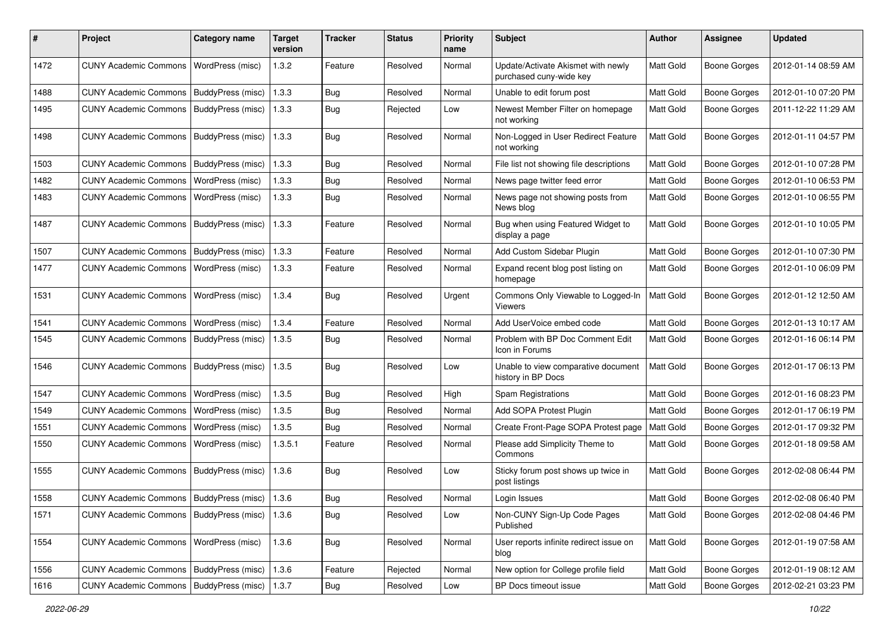| ∦    | Project                                   | <b>Category name</b>    | <b>Target</b><br>version | Tracker    | <b>Status</b> | <b>Priority</b><br>name | Subject                                                       | <b>Author</b>    | Assignee            | <b>Updated</b>      |
|------|-------------------------------------------|-------------------------|--------------------------|------------|---------------|-------------------------|---------------------------------------------------------------|------------------|---------------------|---------------------|
| 1472 | <b>CUNY Academic Commons</b>              | WordPress (misc)        | 1.3.2                    | Feature    | Resolved      | Normal                  | Update/Activate Akismet with newly<br>purchased cuny-wide key | Matt Gold        | <b>Boone Gorges</b> | 2012-01-14 08:59 AM |
| 1488 | <b>CUNY Academic Commons</b>              | BuddyPress (misc)       | 1.3.3                    | Bug        | Resolved      | Normal                  | Unable to edit forum post                                     | Matt Gold        | <b>Boone Gorges</b> | 2012-01-10 07:20 PM |
| 1495 | <b>CUNY Academic Commons</b>              | BuddyPress (misc)       | 1.3.3                    | <b>Bug</b> | Rejected      | Low                     | Newest Member Filter on homepage<br>not working               | Matt Gold        | <b>Boone Gorges</b> | 2011-12-22 11:29 AM |
| 1498 | <b>CUNY Academic Commons</b>              | BuddyPress (misc)       | 1.3.3                    | <b>Bug</b> | Resolved      | Normal                  | Non-Logged in User Redirect Feature<br>not working            | Matt Gold        | <b>Boone Gorges</b> | 2012-01-11 04:57 PM |
| 1503 | <b>CUNY Academic Commons</b>              | BuddyPress (misc)       | 1.3.3                    | Bug        | Resolved      | Normal                  | File list not showing file descriptions                       | Matt Gold        | Boone Gorges        | 2012-01-10 07:28 PM |
| 1482 | <b>CUNY Academic Commons</b>              | WordPress (misc)        | 1.3.3                    | <b>Bug</b> | Resolved      | Normal                  | News page twitter feed error                                  | Matt Gold        | Boone Gorges        | 2012-01-10 06:53 PM |
| 1483 | <b>CUNY Academic Commons</b>              | WordPress (misc)        | 1.3.3                    | <b>Bug</b> | Resolved      | Normal                  | News page not showing posts from<br>News blog                 | Matt Gold        | <b>Boone Gorges</b> | 2012-01-10 06:55 PM |
| 1487 | <b>CUNY Academic Commons</b>              | BuddyPress (misc)       | 1.3.3                    | Feature    | Resolved      | Normal                  | Bug when using Featured Widget to<br>display a page           | Matt Gold        | <b>Boone Gorges</b> | 2012-01-10 10:05 PM |
| 1507 | <b>CUNY Academic Commons</b>              | BuddyPress (misc)       | 1.3.3                    | Feature    | Resolved      | Normal                  | Add Custom Sidebar Plugin                                     | Matt Gold        | <b>Boone Gorges</b> | 2012-01-10 07:30 PM |
| 1477 | <b>CUNY Academic Commons</b>              | <b>WordPress (misc)</b> | 1.3.3                    | Feature    | Resolved      | Normal                  | Expand recent blog post listing on<br>homepage                | Matt Gold        | Boone Gorges        | 2012-01-10 06:09 PM |
| 1531 | <b>CUNY Academic Commons</b>              | WordPress (misc)        | 1.3.4                    | <b>Bug</b> | Resolved      | Urgent                  | Commons Only Viewable to Logged-In<br><b>Viewers</b>          | Matt Gold        | Boone Gorges        | 2012-01-12 12:50 AM |
| 1541 | <b>CUNY Academic Commons</b>              | WordPress (misc)        | 1.3.4                    | Feature    | Resolved      | Normal                  | Add UserVoice embed code                                      | Matt Gold        | <b>Boone Gorges</b> | 2012-01-13 10:17 AM |
| 1545 | <b>CUNY Academic Commons</b>              | BuddyPress (misc)       | 1.3.5                    | <b>Bug</b> | Resolved      | Normal                  | Problem with BP Doc Comment Edit<br>Icon in Forums            | <b>Matt Gold</b> | Boone Gorges        | 2012-01-16 06:14 PM |
| 1546 | <b>CUNY Academic Commons</b>              | BuddyPress (misc)       | 1.3.5                    | <b>Bug</b> | Resolved      | Low                     | Unable to view comparative document<br>history in BP Docs     | Matt Gold        | <b>Boone Gorges</b> | 2012-01-17 06:13 PM |
| 1547 | <b>CUNY Academic Commons</b>              | WordPress (misc)        | 1.3.5                    | <b>Bug</b> | Resolved      | High                    | Spam Registrations                                            | Matt Gold        | Boone Gorges        | 2012-01-16 08:23 PM |
| 1549 | <b>CUNY Academic Commons</b>              | WordPress (misc)        | 1.3.5                    | Bug        | Resolved      | Normal                  | Add SOPA Protest Plugin                                       | Matt Gold        | Boone Gorges        | 2012-01-17 06:19 PM |
| 1551 | <b>CUNY Academic Commons</b>              | WordPress (misc)        | 1.3.5                    | <b>Bug</b> | Resolved      | Normal                  | Create Front-Page SOPA Protest page                           | Matt Gold        | <b>Boone Gorges</b> | 2012-01-17 09:32 PM |
| 1550 | <b>CUNY Academic Commons</b>              | WordPress (misc)        | 1.3.5.1                  | Feature    | Resolved      | Normal                  | Please add Simplicity Theme to<br>Commons                     | Matt Gold        | <b>Boone Gorges</b> | 2012-01-18 09:58 AM |
| 1555 | <b>CUNY Academic Commons</b>              | BuddyPress (misc)       | 1.3.6                    | Bug        | Resolved      | Low                     | Sticky forum post shows up twice in<br>post listings          | Matt Gold        | Boone Gorges        | 2012-02-08 06:44 PM |
| 1558 | CUNY Academic Commons   BuddyPress (misc) |                         | 1.3.6                    | <b>Bug</b> | Resolved      | Normal                  | Login Issues                                                  | Matt Gold        | <b>Boone Gorges</b> | 2012-02-08 06:40 PM |
| 1571 | <b>CUNY Academic Commons</b>              | BuddyPress (misc)       | 1.3.6                    | Bug        | Resolved      | Low                     | Non-CUNY Sign-Up Code Pages<br>Published                      | Matt Gold        | Boone Gorges        | 2012-02-08 04:46 PM |
| 1554 | CUNY Academic Commons   WordPress (misc)  |                         | 1.3.6                    | Bug        | Resolved      | Normal                  | User reports infinite redirect issue on<br>blog               | Matt Gold        | Boone Gorges        | 2012-01-19 07:58 AM |
| 1556 | CUNY Academic Commons   BuddyPress (misc) |                         | 1.3.6                    | Feature    | Rejected      | Normal                  | New option for College profile field                          | Matt Gold        | <b>Boone Gorges</b> | 2012-01-19 08:12 AM |
| 1616 | <b>CUNY Academic Commons</b>              | BuddyPress (misc)       | 1.3.7                    | Bug        | Resolved      | Low                     | BP Docs timeout issue                                         | Matt Gold        | <b>Boone Gorges</b> | 2012-02-21 03:23 PM |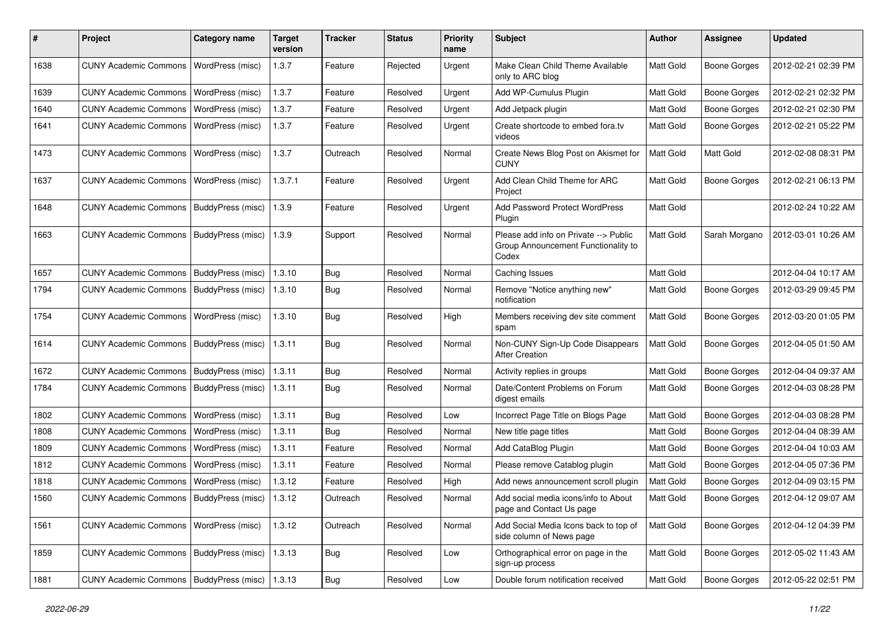| $\#$ | Project                                   | <b>Category name</b>     | <b>Target</b><br>version | <b>Tracker</b> | <b>Status</b> | <b>Priority</b><br>name | Subject                                                                               | <b>Author</b> | <b>Assignee</b>     | <b>Updated</b>      |
|------|-------------------------------------------|--------------------------|--------------------------|----------------|---------------|-------------------------|---------------------------------------------------------------------------------------|---------------|---------------------|---------------------|
| 1638 | <b>CUNY Academic Commons</b>              | WordPress (misc)         | 1.3.7                    | Feature        | Rejected      | Urgent                  | Make Clean Child Theme Available<br>only to ARC blog                                  | Matt Gold     | <b>Boone Gorges</b> | 2012-02-21 02:39 PM |
| 1639 | <b>CUNY Academic Commons</b>              | WordPress (misc)         | 1.3.7                    | Feature        | Resolved      | Urgent                  | Add WP-Cumulus Plugin                                                                 | Matt Gold     | <b>Boone Gorges</b> | 2012-02-21 02:32 PM |
| 1640 | <b>CUNY Academic Commons</b>              | WordPress (misc)         | 1.3.7                    | Feature        | Resolved      | Urgent                  | Add Jetpack plugin                                                                    | Matt Gold     | <b>Boone Gorges</b> | 2012-02-21 02:30 PM |
| 1641 | <b>CUNY Academic Commons</b>              | WordPress (misc)         | 1.3.7                    | Feature        | Resolved      | Urgent                  | Create shortcode to embed fora.tv<br>videos                                           | Matt Gold     | <b>Boone Gorges</b> | 2012-02-21 05:22 PM |
| 1473 | <b>CUNY Academic Commons</b>              | WordPress (misc)         | 1.3.7                    | Outreach       | Resolved      | Normal                  | Create News Blog Post on Akismet for<br>CUNY                                          | Matt Gold     | Matt Gold           | 2012-02-08 08:31 PM |
| 1637 | <b>CUNY Academic Commons</b>              | WordPress (misc)         | 1.3.7.1                  | Feature        | Resolved      | Urgent                  | Add Clean Child Theme for ARC<br>Project                                              | Matt Gold     | <b>Boone Gorges</b> | 2012-02-21 06:13 PM |
| 1648 | <b>CUNY Academic Commons</b>              | BuddyPress (misc)        | 1.3.9                    | Feature        | Resolved      | Urgent                  | <b>Add Password Protect WordPress</b><br>Plugin                                       | Matt Gold     |                     | 2012-02-24 10:22 AM |
| 1663 | <b>CUNY Academic Commons</b>              | BuddyPress (misc)        | 1.3.9                    | Support        | Resolved      | Normal                  | Please add info on Private --> Public<br>Group Announcement Functionality to<br>Codex | Matt Gold     | Sarah Morgano       | 2012-03-01 10:26 AM |
| 1657 | <b>CUNY Academic Commons</b>              | BuddyPress (misc)        | 1.3.10                   | Bug            | Resolved      | Normal                  | Caching Issues                                                                        | Matt Gold     |                     | 2012-04-04 10:17 AM |
| 1794 | <b>CUNY Academic Commons</b>              | BuddyPress (misc)        | 1.3.10                   | Bug            | Resolved      | Normal                  | Remove "Notice anything new"<br>notification                                          | Matt Gold     | <b>Boone Gorges</b> | 2012-03-29 09:45 PM |
| 1754 | <b>CUNY Academic Commons</b>              | WordPress (misc)         | 1.3.10                   | Bug            | Resolved      | High                    | Members receiving dev site comment<br>spam                                            | Matt Gold     | <b>Boone Gorges</b> | 2012-03-20 01:05 PM |
| 1614 | <b>CUNY Academic Commons</b>              | BuddyPress (misc)        | 1.3.11                   | Bug            | Resolved      | Normal                  | Non-CUNY Sign-Up Code Disappears<br><b>After Creation</b>                             | Matt Gold     | <b>Boone Gorges</b> | 2012-04-05 01:50 AM |
| 1672 | <b>CUNY Academic Commons</b>              | BuddyPress (misc)        | 1.3.11                   | <b>Bug</b>     | Resolved      | Normal                  | Activity replies in groups                                                            | Matt Gold     | <b>Boone Gorges</b> | 2012-04-04 09:37 AM |
| 1784 | <b>CUNY Academic Commons</b>              | BuddyPress (misc)        | 1.3.11                   | Bug            | Resolved      | Normal                  | Date/Content Problems on Forum<br>digest emails                                       | Matt Gold     | <b>Boone Gorges</b> | 2012-04-03 08:28 PM |
| 1802 | <b>CUNY Academic Commons</b>              | WordPress (misc)         | 1.3.11                   | Bug            | Resolved      | Low                     | Incorrect Page Title on Blogs Page                                                    | Matt Gold     | <b>Boone Gorges</b> | 2012-04-03 08:28 PM |
| 1808 | <b>CUNY Academic Commons</b>              | WordPress (misc)         | 1.3.11                   | <b>Bug</b>     | Resolved      | Normal                  | New title page titles                                                                 | Matt Gold     | <b>Boone Gorges</b> | 2012-04-04 08:39 AM |
| 1809 | <b>CUNY Academic Commons</b>              | WordPress (misc)         | 1.3.11                   | Feature        | Resolved      | Normal                  | Add CataBlog Plugin                                                                   | Matt Gold     | <b>Boone Gorges</b> | 2012-04-04 10:03 AM |
| 1812 | <b>CUNY Academic Commons</b>              | WordPress (misc)         | 1.3.11                   | Feature        | Resolved      | Normal                  | Please remove Catablog plugin                                                         | Matt Gold     | <b>Boone Gorges</b> | 2012-04-05 07:36 PM |
| 1818 | <b>CUNY Academic Commons</b>              | WordPress (misc)         | 1.3.12                   | Feature        | Resolved      | High                    | Add news announcement scroll plugin                                                   | Matt Gold     | <b>Boone Gorges</b> | 2012-04-09 03:15 PM |
| 1560 | CUNY Academic Commons   BuddyPress (misc) |                          | 1.3.12                   | Outreach       | Resolved      | Normal                  | Add social media icons/info to About<br>page and Contact Us page                      | Matt Gold     | <b>Boone Gorges</b> | 2012-04-12 09:07 AM |
| 1561 | <b>CUNY Academic Commons</b>              | WordPress (misc)         | 1.3.12                   | Outreach       | Resolved      | Normal                  | Add Social Media Icons back to top of<br>side column of News page                     | Matt Gold     | Boone Gorges        | 2012-04-12 04:39 PM |
| 1859 | <b>CUNY Academic Commons</b>              | <b>BuddyPress (misc)</b> | 1.3.13                   | Bug            | Resolved      | Low                     | Orthographical error on page in the<br>sign-up process                                | Matt Gold     | Boone Gorges        | 2012-05-02 11:43 AM |
| 1881 | CUNY Academic Commons   BuddyPress (misc) |                          | 1.3.13                   | <b>Bug</b>     | Resolved      | Low                     | Double forum notification received                                                    | Matt Gold     | Boone Gorges        | 2012-05-22 02:51 PM |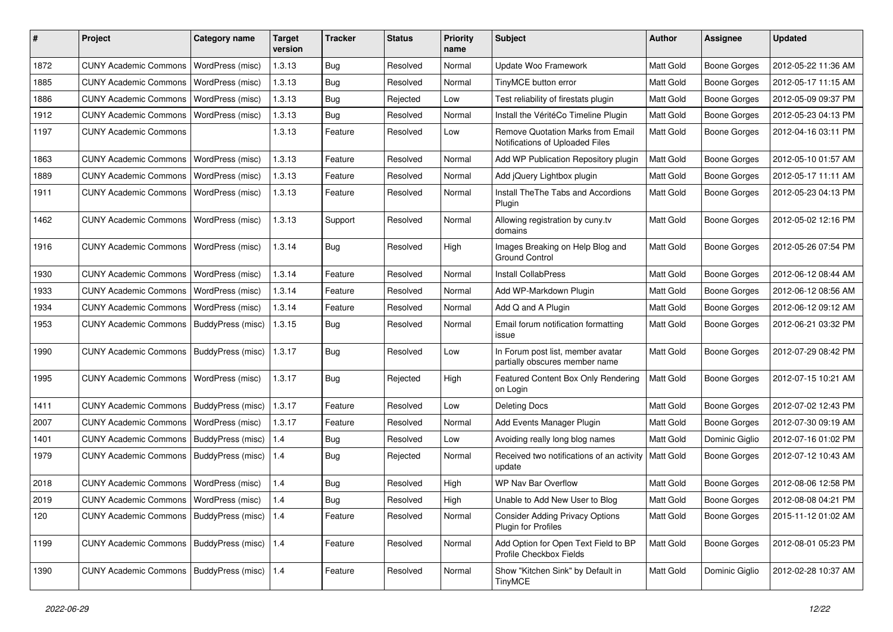| #    | Project                                         | Category name     | <b>Target</b><br>version | <b>Tracker</b> | <b>Status</b> | <b>Priority</b><br>name | <b>Subject</b>                                                              | <b>Author</b>    | Assignee            | <b>Updated</b>      |
|------|-------------------------------------------------|-------------------|--------------------------|----------------|---------------|-------------------------|-----------------------------------------------------------------------------|------------------|---------------------|---------------------|
| 1872 | <b>CUNY Academic Commons</b>                    | WordPress (misc)  | 1.3.13                   | <b>Bug</b>     | Resolved      | Normal                  | Update Woo Framework                                                        | Matt Gold        | <b>Boone Gorges</b> | 2012-05-22 11:36 AM |
| 1885 | <b>CUNY Academic Commons</b>                    | WordPress (misc)  | 1.3.13                   | Bug            | Resolved      | Normal                  | TinyMCE button error                                                        | Matt Gold        | <b>Boone Gorges</b> | 2012-05-17 11:15 AM |
| 1886 | <b>CUNY Academic Commons</b>                    | WordPress (misc)  | 1.3.13                   | Bug            | Rejected      | Low                     | Test reliability of firestats plugin                                        | Matt Gold        | Boone Gorges        | 2012-05-09 09:37 PM |
| 1912 | <b>CUNY Academic Commons</b>                    | WordPress (misc)  | 1.3.13                   | Bug            | Resolved      | Normal                  | Install the VéritéCo Timeline Plugin                                        | Matt Gold        | Boone Gorges        | 2012-05-23 04:13 PM |
| 1197 | <b>CUNY Academic Commons</b>                    |                   | 1.3.13                   | Feature        | Resolved      | Low                     | <b>Remove Quotation Marks from Email</b><br>Notifications of Uploaded Files | Matt Gold        | Boone Gorges        | 2012-04-16 03:11 PM |
| 1863 | <b>CUNY Academic Commons</b>                    | WordPress (misc)  | 1.3.13                   | Feature        | Resolved      | Normal                  | Add WP Publication Repository plugin                                        | Matt Gold        | <b>Boone Gorges</b> | 2012-05-10 01:57 AM |
| 1889 | <b>CUNY Academic Commons</b>                    | WordPress (misc)  | 1.3.13                   | Feature        | Resolved      | Normal                  | Add jQuery Lightbox plugin                                                  | Matt Gold        | Boone Gorges        | 2012-05-17 11:11 AM |
| 1911 | <b>CUNY Academic Commons</b>                    | WordPress (misc)  | 1.3.13                   | Feature        | Resolved      | Normal                  | <b>Install TheThe Tabs and Accordions</b><br>Plugin                         | Matt Gold        | Boone Gorges        | 2012-05-23 04:13 PM |
| 1462 | <b>CUNY Academic Commons</b>                    | WordPress (misc)  | 1.3.13                   | Support        | Resolved      | Normal                  | Allowing registration by cuny.tv<br>domains                                 | Matt Gold        | Boone Gorges        | 2012-05-02 12:16 PM |
| 1916 | <b>CUNY Academic Commons</b>                    | WordPress (misc)  | 1.3.14                   | Bug            | Resolved      | High                    | Images Breaking on Help Blog and<br><b>Ground Control</b>                   | Matt Gold        | <b>Boone Gorges</b> | 2012-05-26 07:54 PM |
| 1930 | <b>CUNY Academic Commons</b>                    | WordPress (misc)  | 1.3.14                   | Feature        | Resolved      | Normal                  | <b>Install CollabPress</b>                                                  | Matt Gold        | <b>Boone Gorges</b> | 2012-06-12 08:44 AM |
| 1933 | <b>CUNY Academic Commons</b>                    | WordPress (misc)  | 1.3.14                   | Feature        | Resolved      | Normal                  | Add WP-Markdown Plugin                                                      | Matt Gold        | Boone Gorges        | 2012-06-12 08:56 AM |
| 1934 | <b>CUNY Academic Commons</b>                    | WordPress (misc)  | 1.3.14                   | Feature        | Resolved      | Normal                  | Add Q and A Plugin                                                          | Matt Gold        | <b>Boone Gorges</b> | 2012-06-12 09:12 AM |
| 1953 | <b>CUNY Academic Commons</b>                    | BuddyPress (misc) | 1.3.15                   | Bug            | Resolved      | Normal                  | Email forum notification formatting<br>issue                                | Matt Gold        | <b>Boone Gorges</b> | 2012-06-21 03:32 PM |
| 1990 | <b>CUNY Academic Commons</b>                    | BuddyPress (misc) | 1.3.17                   | <b>Bug</b>     | Resolved      | Low                     | In Forum post list, member avatar<br>partially obscures member name         | <b>Matt Gold</b> | <b>Boone Gorges</b> | 2012-07-29 08:42 PM |
| 1995 | <b>CUNY Academic Commons</b>                    | WordPress (misc)  | 1.3.17                   | Bug            | Rejected      | High                    | Featured Content Box Only Rendering<br>on Login                             | Matt Gold        | <b>Boone Gorges</b> | 2012-07-15 10:21 AM |
| 1411 | <b>CUNY Academic Commons</b>                    | BuddyPress (misc) | 1.3.17                   | Feature        | Resolved      | Low                     | <b>Deleting Docs</b>                                                        | Matt Gold        | <b>Boone Gorges</b> | 2012-07-02 12:43 PM |
| 2007 | <b>CUNY Academic Commons</b>                    | WordPress (misc)  | 1.3.17                   | Feature        | Resolved      | Normal                  | Add Events Manager Plugin                                                   | Matt Gold        | <b>Boone Gorges</b> | 2012-07-30 09:19 AM |
| 1401 | <b>CUNY Academic Commons</b>                    | BuddyPress (misc) | 1.4                      | <b>Bug</b>     | Resolved      | Low                     | Avoiding really long blog names                                             | Matt Gold        | Dominic Giglio      | 2012-07-16 01:02 PM |
| 1979 | <b>CUNY Academic Commons</b>                    | BuddyPress (misc) | 1.4                      | Bug            | Rejected      | Normal                  | Received two notifications of an activity<br>update                         | Matt Gold        | Boone Gorges        | 2012-07-12 10:43 AM |
| 2018 | <b>CUNY Academic Commons</b>                    | WordPress (misc)  | 1.4                      | <b>Bug</b>     | Resolved      | High                    | WP Nav Bar Overflow                                                         | Matt Gold        | <b>Boone Gorges</b> | 2012-08-06 12:58 PM |
| 2019 | CUNY Academic Commons   WordPress (misc)        |                   | 1.4                      | <b>Bug</b>     | Resolved      | High                    | Unable to Add New User to Blog                                              | <b>Matt Gold</b> | <b>Boone Gorges</b> | 2012-08-08 04:21 PM |
| 120  | CUNY Academic Commons   BuddyPress (misc)   1.4 |                   |                          | Feature        | Resolved      | Normal                  | <b>Consider Adding Privacy Options</b><br><b>Plugin for Profiles</b>        | Matt Gold        | <b>Boone Gorges</b> | 2015-11-12 01:02 AM |
| 1199 | CUNY Academic Commons   BuddyPress (misc)   1.4 |                   |                          | Feature        | Resolved      | Normal                  | Add Option for Open Text Field to BP<br>Profile Checkbox Fields             | Matt Gold        | <b>Boone Gorges</b> | 2012-08-01 05:23 PM |
| 1390 | <b>CUNY Academic Commons</b>                    | BuddyPress (misc) | 1.4                      | Feature        | Resolved      | Normal                  | Show "Kitchen Sink" by Default in<br>TinyMCE                                | Matt Gold        | Dominic Giglio      | 2012-02-28 10:37 AM |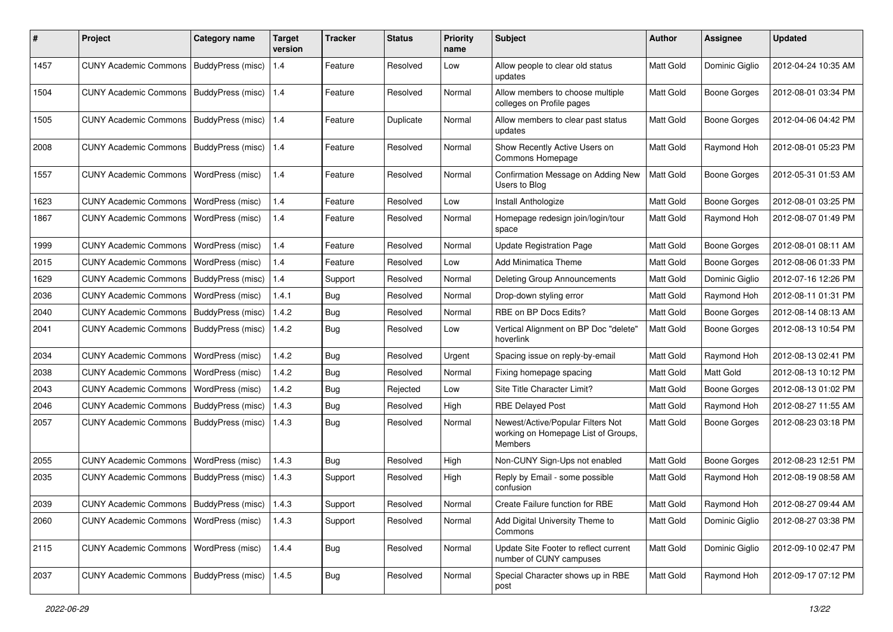| #    | Project                                           | <b>Category name</b> | <b>Target</b><br>version | <b>Tracker</b> | <b>Status</b> | <b>Priority</b><br>name | Subject                                                                             | <b>Author</b> | <b>Assignee</b>     | <b>Updated</b>      |
|------|---------------------------------------------------|----------------------|--------------------------|----------------|---------------|-------------------------|-------------------------------------------------------------------------------------|---------------|---------------------|---------------------|
| 1457 | <b>CUNY Academic Commons</b>                      | BuddyPress (misc)    | 1.4                      | Feature        | Resolved      | Low                     | Allow people to clear old status<br>updates                                         | Matt Gold     | Dominic Giglio      | 2012-04-24 10:35 AM |
| 1504 | <b>CUNY Academic Commons</b>                      | BuddyPress (misc)    | 1.4                      | Feature        | Resolved      | Normal                  | Allow members to choose multiple<br>colleges on Profile pages                       | Matt Gold     | <b>Boone Gorges</b> | 2012-08-01 03:34 PM |
| 1505 | <b>CUNY Academic Commons</b>                      | BuddyPress (misc)    | 1.4                      | Feature        | Duplicate     | Normal                  | Allow members to clear past status<br>updates                                       | Matt Gold     | <b>Boone Gorges</b> | 2012-04-06 04:42 PM |
| 2008 | <b>CUNY Academic Commons</b>                      | BuddyPress (misc)    | 1.4                      | Feature        | Resolved      | Normal                  | Show Recently Active Users on<br>Commons Homepage                                   | Matt Gold     | Raymond Hoh         | 2012-08-01 05:23 PM |
| 1557 | <b>CUNY Academic Commons</b>                      | WordPress (misc)     | 1.4                      | Feature        | Resolved      | Normal                  | Confirmation Message on Adding New<br>Users to Blog                                 | Matt Gold     | <b>Boone Gorges</b> | 2012-05-31 01:53 AM |
| 1623 | <b>CUNY Academic Commons</b>                      | WordPress (misc)     | 1.4                      | Feature        | Resolved      | Low                     | Install Anthologize                                                                 | Matt Gold     | <b>Boone Gorges</b> | 2012-08-01 03:25 PM |
| 1867 | <b>CUNY Academic Commons</b>                      | WordPress (misc)     | 1.4                      | Feature        | Resolved      | Normal                  | Homepage redesign join/login/tour<br>space                                          | Matt Gold     | Raymond Hoh         | 2012-08-07 01:49 PM |
| 1999 | <b>CUNY Academic Commons</b>                      | WordPress (misc)     | 1.4                      | Feature        | Resolved      | Normal                  | <b>Update Registration Page</b>                                                     | Matt Gold     | <b>Boone Gorges</b> | 2012-08-01 08:11 AM |
| 2015 | <b>CUNY Academic Commons</b>                      | WordPress (misc)     | 1.4                      | Feature        | Resolved      | Low                     | <b>Add Minimatica Theme</b>                                                         | Matt Gold     | <b>Boone Gorges</b> | 2012-08-06 01:33 PM |
| 1629 | <b>CUNY Academic Commons</b>                      | BuddyPress (misc)    | 1.4                      | Support        | Resolved      | Normal                  | Deleting Group Announcements                                                        | Matt Gold     | Dominic Giglio      | 2012-07-16 12:26 PM |
| 2036 | <b>CUNY Academic Commons</b>                      | WordPress (misc)     | 1.4.1                    | Bug            | Resolved      | Normal                  | Drop-down styling error                                                             | Matt Gold     | Raymond Hoh         | 2012-08-11 01:31 PM |
| 2040 | <b>CUNY Academic Commons</b>                      | BuddyPress (misc)    | 1.4.2                    | Bug            | Resolved      | Normal                  | RBE on BP Docs Edits?                                                               | Matt Gold     | <b>Boone Gorges</b> | 2012-08-14 08:13 AM |
| 2041 | <b>CUNY Academic Commons</b>                      | BuddyPress (misc)    | 1.4.2                    | <b>Bug</b>     | Resolved      | Low                     | Vertical Alignment on BP Doc "delete"<br>hoverlink                                  | Matt Gold     | <b>Boone Gorges</b> | 2012-08-13 10:54 PM |
| 2034 | <b>CUNY Academic Commons</b>                      | WordPress (misc)     | 1.4.2                    | Bug            | Resolved      | Urgent                  | Spacing issue on reply-by-email                                                     | Matt Gold     | Raymond Hoh         | 2012-08-13 02:41 PM |
| 2038 | <b>CUNY Academic Commons</b>                      | WordPress (misc)     | 1.4.2                    | Bug            | Resolved      | Normal                  | Fixing homepage spacing                                                             | Matt Gold     | Matt Gold           | 2012-08-13 10:12 PM |
| 2043 | <b>CUNY Academic Commons</b>                      | WordPress (misc)     | 1.4.2                    | <b>Bug</b>     | Rejected      | Low                     | Site Title Character Limit?                                                         | Matt Gold     | <b>Boone Gorges</b> | 2012-08-13 01:02 PM |
| 2046 | <b>CUNY Academic Commons</b>                      | BuddyPress (misc)    | 1.4.3                    | <b>Bug</b>     | Resolved      | High                    | <b>RBE Delayed Post</b>                                                             | Matt Gold     | Raymond Hoh         | 2012-08-27 11:55 AM |
| 2057 | <b>CUNY Academic Commons</b>                      | BuddyPress (misc)    | 1.4.3                    | Bug            | Resolved      | Normal                  | Newest/Active/Popular Filters Not<br>working on Homepage List of Groups,<br>Members | Matt Gold     | <b>Boone Gorges</b> | 2012-08-23 03:18 PM |
| 2055 | <b>CUNY Academic Commons</b>                      | WordPress (misc)     | 1.4.3                    | <b>Bug</b>     | Resolved      | High                    | Non-CUNY Sign-Ups not enabled                                                       | Matt Gold     | <b>Boone Gorges</b> | 2012-08-23 12:51 PM |
| 2035 | <b>CUNY Academic Commons</b>                      | BuddyPress (misc)    | 1.4.3                    | Support        | Resolved      | High                    | Reply by Email - some possible<br>confusion                                         | Matt Gold     | Raymond Hoh         | 2012-08-19 08:58 AM |
| 2039 | CUNY Academic Commons   BuddyPress (misc)   1.4.3 |                      |                          | Support        | Resolved      | Normal                  | Create Failure function for RBE                                                     | Matt Gold     | Raymond Hoh         | 2012-08-27 09:44 AM |
| 2060 | <b>CUNY Academic Commons</b>                      | WordPress (misc)     | 1.4.3                    | Support        | Resolved      | Normal                  | Add Digital University Theme to<br>Commons                                          | Matt Gold     | Dominic Giglio      | 2012-08-27 03:38 PM |
| 2115 | <b>CUNY Academic Commons</b>                      | WordPress (misc)     | 1.4.4                    | Bug            | Resolved      | Normal                  | Update Site Footer to reflect current<br>number of CUNY campuses                    | Matt Gold     | Dominic Giglio      | 2012-09-10 02:47 PM |
| 2037 | CUNY Academic Commons   BuddyPress (misc)   1.4.5 |                      |                          | <b>Bug</b>     | Resolved      | Normal                  | Special Character shows up in RBE<br>post                                           | Matt Gold     | Raymond Hoh         | 2012-09-17 07:12 PM |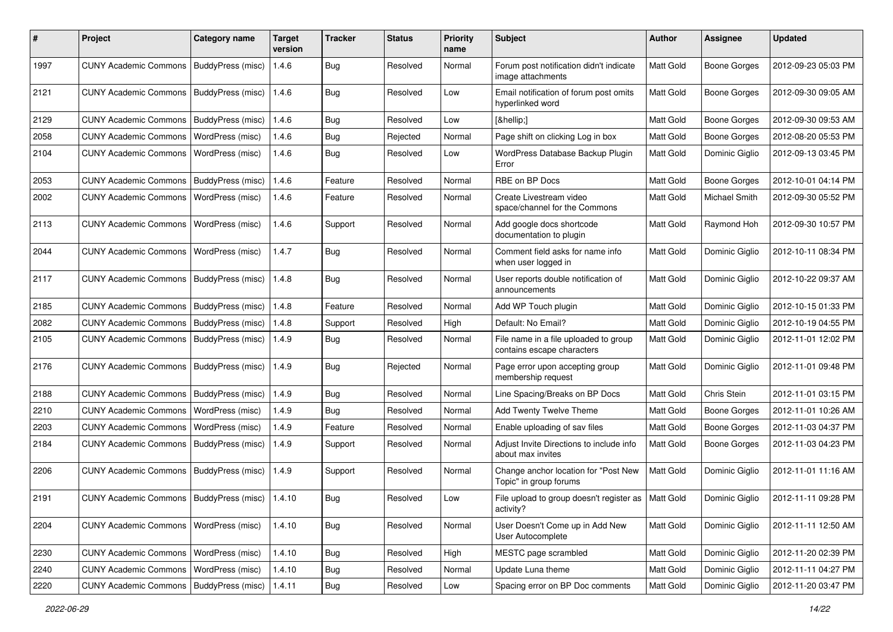| #    | Project                                            | <b>Category name</b>     | <b>Target</b><br>version | <b>Tracker</b> | <b>Status</b> | <b>Priority</b><br>name | Subject                                                             | <b>Author</b> | <b>Assignee</b>     | <b>Updated</b>      |
|------|----------------------------------------------------|--------------------------|--------------------------|----------------|---------------|-------------------------|---------------------------------------------------------------------|---------------|---------------------|---------------------|
| 1997 | <b>CUNY Academic Commons</b>                       | BuddyPress (misc)        | 1.4.6                    | Bug            | Resolved      | Normal                  | Forum post notification didn't indicate<br>image attachments        | Matt Gold     | <b>Boone Gorges</b> | 2012-09-23 05:03 PM |
| 2121 | <b>CUNY Academic Commons</b>                       | <b>BuddyPress (misc)</b> | 1.4.6                    | Bug            | Resolved      | Low                     | Email notification of forum post omits<br>hyperlinked word          | Matt Gold     | <b>Boone Gorges</b> | 2012-09-30 09:05 AM |
| 2129 | <b>CUNY Academic Commons</b>                       | BuddyPress (misc)        | 1.4.6                    | <b>Bug</b>     | Resolved      | Low                     | […]                                                                 | Matt Gold     | <b>Boone Gorges</b> | 2012-09-30 09:53 AM |
| 2058 | <b>CUNY Academic Commons</b>                       | WordPress (misc)         | 1.4.6                    | Bug            | Rejected      | Normal                  | Page shift on clicking Log in box                                   | Matt Gold     | <b>Boone Gorges</b> | 2012-08-20 05:53 PM |
| 2104 | <b>CUNY Academic Commons</b>                       | WordPress (misc)         | 1.4.6                    | Bug            | Resolved      | Low                     | WordPress Database Backup Plugin<br>Error                           | Matt Gold     | Dominic Giglio      | 2012-09-13 03:45 PM |
| 2053 | <b>CUNY Academic Commons</b>                       | BuddyPress (misc)        | 1.4.6                    | Feature        | Resolved      | Normal                  | RBE on BP Docs                                                      | Matt Gold     | <b>Boone Gorges</b> | 2012-10-01 04:14 PM |
| 2002 | <b>CUNY Academic Commons</b>                       | WordPress (misc)         | 1.4.6                    | Feature        | Resolved      | Normal                  | Create Livestream video<br>space/channel for the Commons            | Matt Gold     | Michael Smith       | 2012-09-30 05:52 PM |
| 2113 | <b>CUNY Academic Commons</b>                       | WordPress (misc)         | 1.4.6                    | Support        | Resolved      | Normal                  | Add google docs shortcode<br>documentation to plugin                | Matt Gold     | Raymond Hoh         | 2012-09-30 10:57 PM |
| 2044 | <b>CUNY Academic Commons</b>                       | WordPress (misc)         | 1.4.7                    | <b>Bug</b>     | Resolved      | Normal                  | Comment field asks for name info<br>when user logged in             | Matt Gold     | Dominic Giglio      | 2012-10-11 08:34 PM |
| 2117 | <b>CUNY Academic Commons</b>                       | BuddyPress (misc)        | 1.4.8                    | Bug            | Resolved      | Normal                  | User reports double notification of<br>announcements                | Matt Gold     | Dominic Giglio      | 2012-10-22 09:37 AM |
| 2185 | <b>CUNY Academic Commons</b>                       | BuddyPress (misc)        | 1.4.8                    | Feature        | Resolved      | Normal                  | Add WP Touch plugin                                                 | Matt Gold     | Dominic Giglio      | 2012-10-15 01:33 PM |
| 2082 | <b>CUNY Academic Commons</b>                       | BuddyPress (misc)        | 1.4.8                    | Support        | Resolved      | High                    | Default: No Email?                                                  | Matt Gold     | Dominic Giglio      | 2012-10-19 04:55 PM |
| 2105 | <b>CUNY Academic Commons</b>                       | BuddyPress (misc)        | 1.4.9                    | Bug            | Resolved      | Normal                  | File name in a file uploaded to group<br>contains escape characters | Matt Gold     | Dominic Giglio      | 2012-11-01 12:02 PM |
| 2176 | <b>CUNY Academic Commons</b>                       | <b>BuddyPress (misc)</b> | 1.4.9                    | Bug            | Rejected      | Normal                  | Page error upon accepting group<br>membership request               | Matt Gold     | Dominic Giglio      | 2012-11-01 09:48 PM |
| 2188 | <b>CUNY Academic Commons</b>                       | BuddyPress (misc)        | 1.4.9                    | Bug            | Resolved      | Normal                  | Line Spacing/Breaks on BP Docs                                      | Matt Gold     | Chris Stein         | 2012-11-01 03:15 PM |
| 2210 | <b>CUNY Academic Commons</b>                       | <b>WordPress (misc)</b>  | 1.4.9                    | Bug            | Resolved      | Normal                  | Add Twenty Twelve Theme                                             | Matt Gold     | <b>Boone Gorges</b> | 2012-11-01 10:26 AM |
| 2203 | <b>CUNY Academic Commons</b>                       | WordPress (misc)         | 1.4.9                    | Feature        | Resolved      | Normal                  | Enable uploading of sav files                                       | Matt Gold     | <b>Boone Gorges</b> | 2012-11-03 04:37 PM |
| 2184 | <b>CUNY Academic Commons</b>                       | <b>BuddyPress (misc)</b> | 1.4.9                    | Support        | Resolved      | Normal                  | Adjust Invite Directions to include info<br>about max invites       | Matt Gold     | <b>Boone Gorges</b> | 2012-11-03 04:23 PM |
| 2206 | <b>CUNY Academic Commons</b>                       | BuddyPress (misc)        | 1.4.9                    | Support        | Resolved      | Normal                  | Change anchor location for "Post New<br>Topic" in group forums      | Matt Gold     | Dominic Giglio      | 2012-11-01 11:16 AM |
| 2191 | CUNY Academic Commons   BuddyPress (misc)   1.4.10 |                          |                          | Bug            | Resolved      | Low                     | File upload to group doesn't register as   Matt Gold<br>activity?   |               | Dominic Giglio      | 2012-11-11 09:28 PM |
| 2204 | <b>CUNY Academic Commons</b>                       | <b>WordPress (misc)</b>  | 1.4.10                   | <b>Bug</b>     | Resolved      | Normal                  | User Doesn't Come up in Add New<br>User Autocomplete                | Matt Gold     | Dominic Giglio      | 2012-11-11 12:50 AM |
| 2230 | <b>CUNY Academic Commons</b>                       | WordPress (misc)         | 1.4.10                   | Bug            | Resolved      | High                    | MESTC page scrambled                                                | Matt Gold     | Dominic Giglio      | 2012-11-20 02:39 PM |
| 2240 | <b>CUNY Academic Commons</b>                       | <b>WordPress (misc)</b>  | 1.4.10                   | <b>Bug</b>     | Resolved      | Normal                  | Update Luna theme                                                   | Matt Gold     | Dominic Giglio      | 2012-11-11 04:27 PM |
| 2220 | CUNY Academic Commons   BuddyPress (misc)          |                          | 1.4.11                   | <b>Bug</b>     | Resolved      | Low                     | Spacing error on BP Doc comments                                    | Matt Gold     | Dominic Giglio      | 2012-11-20 03:47 PM |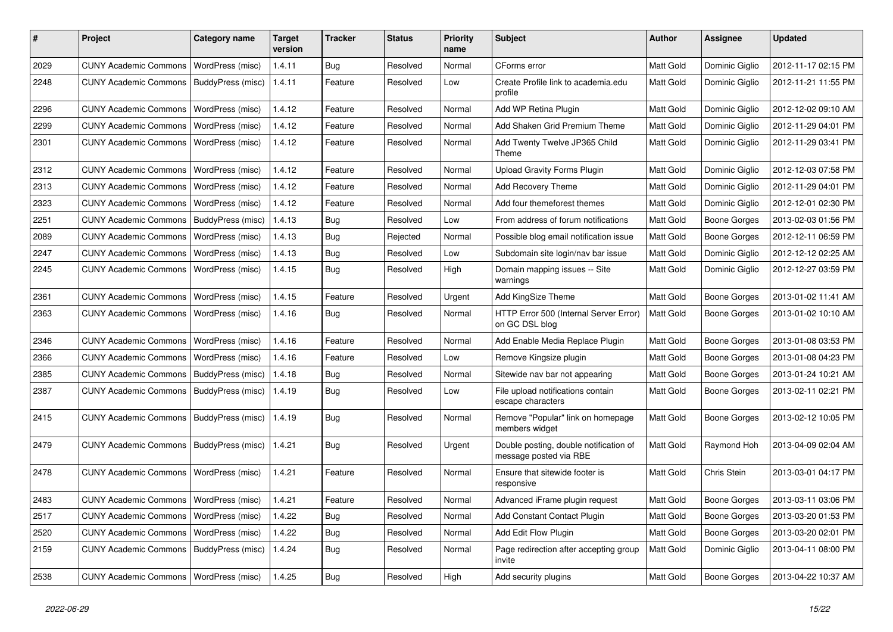| #    | Project                                  | <b>Category name</b>     | <b>Target</b><br>version | <b>Tracker</b> | <b>Status</b> | <b>Priority</b><br>name | Subject                                                          | Author    | <b>Assignee</b>     | <b>Updated</b>      |
|------|------------------------------------------|--------------------------|--------------------------|----------------|---------------|-------------------------|------------------------------------------------------------------|-----------|---------------------|---------------------|
| 2029 | <b>CUNY Academic Commons</b>             | WordPress (misc)         | 1.4.11                   | <b>Bug</b>     | Resolved      | Normal                  | CForms error                                                     | Matt Gold | Dominic Giglio      | 2012-11-17 02:15 PM |
| 2248 | <b>CUNY Academic Commons</b>             | BuddyPress (misc)        | 1.4.11                   | Feature        | Resolved      | Low                     | Create Profile link to academia.edu<br>profile                   | Matt Gold | Dominic Giglio      | 2012-11-21 11:55 PM |
| 2296 | <b>CUNY Academic Commons</b>             | WordPress (misc)         | 1.4.12                   | Feature        | Resolved      | Normal                  | Add WP Retina Plugin                                             | Matt Gold | Dominic Giglio      | 2012-12-02 09:10 AM |
| 2299 | <b>CUNY Academic Commons</b>             | WordPress (misc)         | 1.4.12                   | Feature        | Resolved      | Normal                  | Add Shaken Grid Premium Theme                                    | Matt Gold | Dominic Giglio      | 2012-11-29 04:01 PM |
| 2301 | <b>CUNY Academic Commons</b>             | <b>WordPress (misc)</b>  | 1.4.12                   | Feature        | Resolved      | Normal                  | Add Twenty Twelve JP365 Child<br>Theme                           | Matt Gold | Dominic Giglio      | 2012-11-29 03:41 PM |
| 2312 | <b>CUNY Academic Commons</b>             | WordPress (misc)         | 1.4.12                   | Feature        | Resolved      | Normal                  | <b>Upload Gravity Forms Plugin</b>                               | Matt Gold | Dominic Giglio      | 2012-12-03 07:58 PM |
| 2313 | <b>CUNY Academic Commons</b>             | WordPress (misc)         | 1.4.12                   | Feature        | Resolved      | Normal                  | Add Recovery Theme                                               | Matt Gold | Dominic Giglio      | 2012-11-29 04:01 PM |
| 2323 | <b>CUNY Academic Commons</b>             | WordPress (misc)         | 1.4.12                   | Feature        | Resolved      | Normal                  | Add four themeforest themes                                      | Matt Gold | Dominic Giglio      | 2012-12-01 02:30 PM |
| 2251 | <b>CUNY Academic Commons</b>             | BuddyPress (misc)        | 1.4.13                   | Bug            | Resolved      | Low                     | From address of forum notifications                              | Matt Gold | <b>Boone Gorges</b> | 2013-02-03 01:56 PM |
| 2089 | <b>CUNY Academic Commons</b>             | WordPress (misc)         | 1.4.13                   | <b>Bug</b>     | Rejected      | Normal                  | Possible blog email notification issue                           | Matt Gold | <b>Boone Gorges</b> | 2012-12-11 06:59 PM |
| 2247 | <b>CUNY Academic Commons</b>             | WordPress (misc)         | 1.4.13                   | Bug            | Resolved      | Low                     | Subdomain site login/nav bar issue                               | Matt Gold | Dominic Giglio      | 2012-12-12 02:25 AM |
| 2245 | <b>CUNY Academic Commons</b>             | WordPress (misc)         | 1.4.15                   | Bug            | Resolved      | High                    | Domain mapping issues -- Site<br>warnings                        | Matt Gold | Dominic Giglio      | 2012-12-27 03:59 PM |
| 2361 | <b>CUNY Academic Commons</b>             | WordPress (misc)         | 1.4.15                   | Feature        | Resolved      | Urgent                  | Add KingSize Theme                                               | Matt Gold | <b>Boone Gorges</b> | 2013-01-02 11:41 AM |
| 2363 | <b>CUNY Academic Commons</b>             | WordPress (misc)         | 1.4.16                   | <b>Bug</b>     | Resolved      | Normal                  | HTTP Error 500 (Internal Server Error)<br>on GC DSL blog         | Matt Gold | <b>Boone Gorges</b> | 2013-01-02 10:10 AM |
| 2346 | <b>CUNY Academic Commons</b>             | <b>WordPress (misc)</b>  | 1.4.16                   | Feature        | Resolved      | Normal                  | Add Enable Media Replace Plugin                                  | Matt Gold | <b>Boone Gorges</b> | 2013-01-08 03:53 PM |
| 2366 | <b>CUNY Academic Commons</b>             | WordPress (misc)         | 1.4.16                   | Feature        | Resolved      | Low                     | Remove Kingsize plugin                                           | Matt Gold | <b>Boone Gorges</b> | 2013-01-08 04:23 PM |
| 2385 | <b>CUNY Academic Commons</b>             | BuddyPress (misc)        | 1.4.18                   | <b>Bug</b>     | Resolved      | Normal                  | Sitewide nav bar not appearing                                   | Matt Gold | <b>Boone Gorges</b> | 2013-01-24 10:21 AM |
| 2387 | <b>CUNY Academic Commons</b>             | BuddyPress (misc)        | 1.4.19                   | Bug            | Resolved      | Low                     | File upload notifications contain<br>escape characters           | Matt Gold | <b>Boone Gorges</b> | 2013-02-11 02:21 PM |
| 2415 | <b>CUNY Academic Commons</b>             | <b>BuddyPress (misc)</b> | 1.4.19                   | Bug            | Resolved      | Normal                  | Remove "Popular" link on homepage<br>members widget              | Matt Gold | Boone Gorges        | 2013-02-12 10:05 PM |
| 2479 | <b>CUNY Academic Commons</b>             | BuddyPress (misc)        | 1.4.21                   | Bug            | Resolved      | Urgent                  | Double posting, double notification of<br>message posted via RBE | Matt Gold | Raymond Hoh         | 2013-04-09 02:04 AM |
| 2478 | <b>CUNY Academic Commons</b>             | <b>WordPress (misc)</b>  | 1.4.21                   | Feature        | Resolved      | Normal                  | Ensure that sitewide footer is<br>responsive                     | Matt Gold | Chris Stein         | 2013-03-01 04:17 PM |
| 2483 | CUNY Academic Commons   WordPress (misc) |                          | 1.4.21                   | Feature        | Resolved      | Normal                  | Advanced iFrame plugin request                                   | Matt Gold | <b>Boone Gorges</b> | 2013-03-11 03:06 PM |
| 2517 | CUNY Academic Commons   WordPress (misc) |                          | 1.4.22                   | Bug            | Resolved      | Normal                  | Add Constant Contact Plugin                                      | Matt Gold | <b>Boone Gorges</b> | 2013-03-20 01:53 PM |
| 2520 | <b>CUNY Academic Commons</b>             | <b>WordPress (misc)</b>  | 1.4.22                   | Bug            | Resolved      | Normal                  | Add Edit Flow Plugin                                             | Matt Gold | Boone Gorges        | 2013-03-20 02:01 PM |
| 2159 | <b>CUNY Academic Commons</b>             | BuddyPress (misc)        | 1.4.24                   | <b>Bug</b>     | Resolved      | Normal                  | Page redirection after accepting group<br>invite                 | Matt Gold | Dominic Giglio      | 2013-04-11 08:00 PM |
| 2538 | <b>CUNY Academic Commons</b>             | WordPress (misc)         | 1.4.25                   | Bug            | Resolved      | High                    | Add security plugins                                             | Matt Gold | <b>Boone Gorges</b> | 2013-04-22 10:37 AM |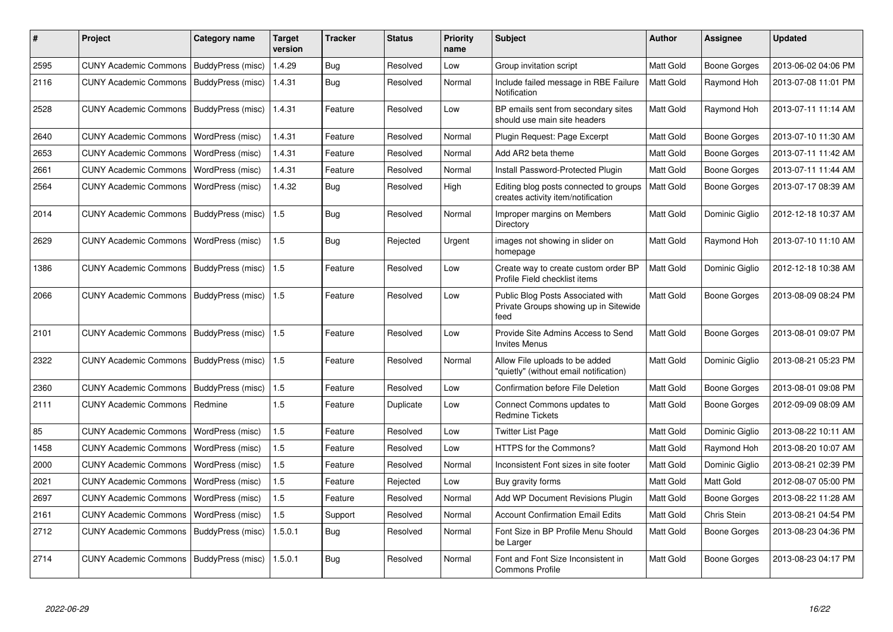| #    | Project                      | Category name     | Target<br>version | <b>Tracker</b> | <b>Status</b> | <b>Priority</b><br>name | <b>Subject</b>                                                                     | Author           | Assignee            | <b>Updated</b>      |
|------|------------------------------|-------------------|-------------------|----------------|---------------|-------------------------|------------------------------------------------------------------------------------|------------------|---------------------|---------------------|
| 2595 | <b>CUNY Academic Commons</b> | BuddyPress (misc) | 1.4.29            | <b>Bug</b>     | Resolved      | Low                     | Group invitation script                                                            | Matt Gold        | Boone Gorges        | 2013-06-02 04:06 PM |
| 2116 | <b>CUNY Academic Commons</b> | BuddyPress (misc) | 1.4.31            | <b>Bug</b>     | Resolved      | Normal                  | Include failed message in RBE Failure<br>Notification                              | Matt Gold        | Raymond Hoh         | 2013-07-08 11:01 PM |
| 2528 | <b>CUNY Academic Commons</b> | BuddyPress (misc) | 1.4.31            | Feature        | Resolved      | Low                     | BP emails sent from secondary sites<br>should use main site headers                | Matt Gold        | Raymond Hoh         | 2013-07-11 11:14 AM |
| 2640 | <b>CUNY Academic Commons</b> | WordPress (misc)  | 1.4.31            | Feature        | Resolved      | Normal                  | Plugin Request: Page Excerpt                                                       | Matt Gold        | Boone Gorges        | 2013-07-10 11:30 AM |
| 2653 | <b>CUNY Academic Commons</b> | WordPress (misc)  | 1.4.31            | Feature        | Resolved      | Normal                  | Add AR2 beta theme                                                                 | Matt Gold        | Boone Gorges        | 2013-07-11 11:42 AM |
| 2661 | <b>CUNY Academic Commons</b> | WordPress (misc)  | 1.4.31            | Feature        | Resolved      | Normal                  | Install Password-Protected Plugin                                                  | Matt Gold        | Boone Gorges        | 2013-07-11 11:44 AM |
| 2564 | <b>CUNY Academic Commons</b> | WordPress (misc)  | 1.4.32            | <b>Bug</b>     | Resolved      | High                    | Editing blog posts connected to groups<br>creates activity item/notification       | Matt Gold        | <b>Boone Gorges</b> | 2013-07-17 08:39 AM |
| 2014 | <b>CUNY Academic Commons</b> | BuddyPress (misc) | 1.5               | Bug            | Resolved      | Normal                  | Improper margins on Members<br>Directory                                           | <b>Matt Gold</b> | Dominic Giglio      | 2012-12-18 10:37 AM |
| 2629 | <b>CUNY Academic Commons</b> | WordPress (misc)  | 1.5               | <b>Bug</b>     | Rejected      | Urgent                  | images not showing in slider on<br>homepage                                        | <b>Matt Gold</b> | Raymond Hoh         | 2013-07-10 11:10 AM |
| 1386 | <b>CUNY Academic Commons</b> | BuddyPress (misc) | 1.5               | Feature        | Resolved      | Low                     | Create way to create custom order BP<br>Profile Field checklist items              | Matt Gold        | Dominic Giglio      | 2012-12-18 10:38 AM |
| 2066 | <b>CUNY Academic Commons</b> | BuddyPress (misc) | 1.5               | Feature        | Resolved      | Low                     | Public Blog Posts Associated with<br>Private Groups showing up in Sitewide<br>feed | Matt Gold        | Boone Gorges        | 2013-08-09 08:24 PM |
| 2101 | <b>CUNY Academic Commons</b> | BuddyPress (misc) | 1.5               | Feature        | Resolved      | Low                     | Provide Site Admins Access to Send<br><b>Invites Menus</b>                         | Matt Gold        | <b>Boone Gorges</b> | 2013-08-01 09:07 PM |
| 2322 | <b>CUNY Academic Commons</b> | BuddyPress (misc) | 1.5               | Feature        | Resolved      | Normal                  | Allow File uploads to be added<br>"quietly" (without email notification)           | Matt Gold        | Dominic Giglio      | 2013-08-21 05:23 PM |
| 2360 | <b>CUNY Academic Commons</b> | BuddyPress (misc) | 1.5               | Feature        | Resolved      | Low                     | <b>Confirmation before File Deletion</b>                                           | Matt Gold        | Boone Gorges        | 2013-08-01 09:08 PM |
| 2111 | <b>CUNY Academic Commons</b> | Redmine           | 1.5               | Feature        | Duplicate     | Low                     | Connect Commons updates to<br><b>Redmine Tickets</b>                               | <b>Matt Gold</b> | <b>Boone Gorges</b> | 2012-09-09 08:09 AM |
| 85   | <b>CUNY Academic Commons</b> | WordPress (misc)  | 1.5               | Feature        | Resolved      | Low                     | <b>Twitter List Page</b>                                                           | Matt Gold        | Dominic Giglio      | 2013-08-22 10:11 AM |
| 1458 | <b>CUNY Academic Commons</b> | WordPress (misc)  | 1.5               | Feature        | Resolved      | Low                     | <b>HTTPS for the Commons?</b>                                                      | Matt Gold        | Raymond Hoh         | 2013-08-20 10:07 AM |
| 2000 | <b>CUNY Academic Commons</b> | WordPress (misc)  | 1.5               | Feature        | Resolved      | Normal                  | Inconsistent Font sizes in site footer                                             | Matt Gold        | Dominic Giglio      | 2013-08-21 02:39 PM |
| 2021 | <b>CUNY Academic Commons</b> | WordPress (misc)  | 1.5               | Feature        | Rejected      | Low                     | Buy gravity forms                                                                  | Matt Gold        | Matt Gold           | 2012-08-07 05:00 PM |
| 2697 | <b>CUNY Academic Commons</b> | WordPress (misc)  | 1.5               | Feature        | Resolved      | Normal                  | Add WP Document Revisions Plugin                                                   | Matt Gold        | Boone Gorges        | 2013-08-22 11:28 AM |
| 2161 | <b>CUNY Academic Commons</b> | WordPress (misc)  | 1.5               | Support        | Resolved      | Normal                  | <b>Account Confirmation Email Edits</b>                                            | Matt Gold        | Chris Stein         | 2013-08-21 04:54 PM |
| 2712 | <b>CUNY Academic Commons</b> | BuddyPress (misc) | 1.5.0.1           | Bug            | Resolved      | Normal                  | Font Size in BP Profile Menu Should<br>be Larger                                   | Matt Gold        | Boone Gorges        | 2013-08-23 04:36 PM |
| 2714 | <b>CUNY Academic Commons</b> | BuddyPress (misc) | 1.5.0.1           | <b>Bug</b>     | Resolved      | Normal                  | Font and Font Size Inconsistent in<br><b>Commons Profile</b>                       | Matt Gold        | <b>Boone Gorges</b> | 2013-08-23 04:17 PM |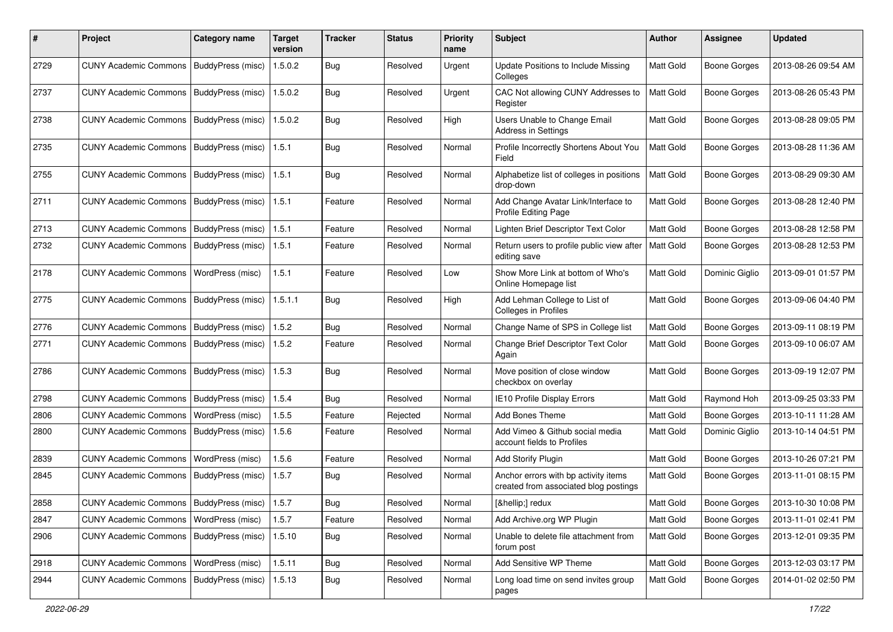| #    | Project                                           | <b>Category name</b> | <b>Target</b><br>version | <b>Tracker</b> | <b>Status</b> | <b>Priority</b><br>name | <b>Subject</b>                                                                | <b>Author</b> | <b>Assignee</b>     | <b>Updated</b>      |
|------|---------------------------------------------------|----------------------|--------------------------|----------------|---------------|-------------------------|-------------------------------------------------------------------------------|---------------|---------------------|---------------------|
| 2729 | <b>CUNY Academic Commons</b>                      | BuddyPress (misc)    | 1.5.0.2                  | <b>Bug</b>     | Resolved      | Urgent                  | Update Positions to Include Missing<br>Colleges                               | Matt Gold     | <b>Boone Gorges</b> | 2013-08-26 09:54 AM |
| 2737 | <b>CUNY Academic Commons</b>                      | BuddyPress (misc)    | 1.5.0.2                  | Bug            | Resolved      | Urgent                  | CAC Not allowing CUNY Addresses to<br>Register                                | Matt Gold     | <b>Boone Gorges</b> | 2013-08-26 05:43 PM |
| 2738 | <b>CUNY Academic Commons</b>                      | BuddyPress (misc)    | 1.5.0.2                  | Bug            | Resolved      | High                    | Users Unable to Change Email<br>Address in Settings                           | Matt Gold     | <b>Boone Gorges</b> | 2013-08-28 09:05 PM |
| 2735 | <b>CUNY Academic Commons</b>                      | BuddyPress (misc)    | 1.5.1                    | Bug            | Resolved      | Normal                  | Profile Incorrectly Shortens About You<br>Field                               | Matt Gold     | <b>Boone Gorges</b> | 2013-08-28 11:36 AM |
| 2755 | <b>CUNY Academic Commons</b>                      | BuddyPress (misc)    | 1.5.1                    | <b>Bug</b>     | Resolved      | Normal                  | Alphabetize list of colleges in positions<br>drop-down                        | Matt Gold     | <b>Boone Gorges</b> | 2013-08-29 09:30 AM |
| 2711 | <b>CUNY Academic Commons</b>                      | BuddyPress (misc)    | 1.5.1                    | Feature        | Resolved      | Normal                  | Add Change Avatar Link/Interface to<br>Profile Editing Page                   | Matt Gold     | <b>Boone Gorges</b> | 2013-08-28 12:40 PM |
| 2713 | <b>CUNY Academic Commons</b>                      | BuddyPress (misc)    | 1.5.1                    | Feature        | Resolved      | Normal                  | Lighten Brief Descriptor Text Color                                           | Matt Gold     | <b>Boone Gorges</b> | 2013-08-28 12:58 PM |
| 2732 | <b>CUNY Academic Commons</b>                      | BuddyPress (misc)    | 1.5.1                    | Feature        | Resolved      | Normal                  | Return users to profile public view after<br>editing save                     | Matt Gold     | <b>Boone Gorges</b> | 2013-08-28 12:53 PM |
| 2178 | <b>CUNY Academic Commons</b>                      | WordPress (misc)     | 1.5.1                    | Feature        | Resolved      | Low                     | Show More Link at bottom of Who's<br>Online Homepage list                     | Matt Gold     | Dominic Giglio      | 2013-09-01 01:57 PM |
| 2775 | <b>CUNY Academic Commons</b>                      | BuddyPress (misc)    | 1.5.1.1                  | Bug            | Resolved      | High                    | Add Lehman College to List of<br>Colleges in Profiles                         | Matt Gold     | <b>Boone Gorges</b> | 2013-09-06 04:40 PM |
| 2776 | <b>CUNY Academic Commons</b>                      | BuddyPress (misc)    | 1.5.2                    | Bug            | Resolved      | Normal                  | Change Name of SPS in College list                                            | Matt Gold     | <b>Boone Gorges</b> | 2013-09-11 08:19 PM |
| 2771 | <b>CUNY Academic Commons</b>                      | BuddyPress (misc)    | 1.5.2                    | Feature        | Resolved      | Normal                  | Change Brief Descriptor Text Color<br>Again                                   | Matt Gold     | <b>Boone Gorges</b> | 2013-09-10 06:07 AM |
| 2786 | <b>CUNY Academic Commons</b>                      | BuddyPress (misc)    | 1.5.3                    | Bug            | Resolved      | Normal                  | Move position of close window<br>checkbox on overlay                          | Matt Gold     | <b>Boone Gorges</b> | 2013-09-19 12:07 PM |
| 2798 | <b>CUNY Academic Commons</b>                      | BuddyPress (misc)    | 1.5.4                    | Bug            | Resolved      | Normal                  | <b>IE10 Profile Display Errors</b>                                            | Matt Gold     | Raymond Hoh         | 2013-09-25 03:33 PM |
| 2806 | <b>CUNY Academic Commons</b>                      | WordPress (misc)     | 1.5.5                    | Feature        | Rejected      | Normal                  | Add Bones Theme                                                               | Matt Gold     | <b>Boone Gorges</b> | 2013-10-11 11:28 AM |
| 2800 | <b>CUNY Academic Commons</b>                      | BuddyPress (misc)    | 1.5.6                    | Feature        | Resolved      | Normal                  | Add Vimeo & Github social media<br>account fields to Profiles                 | Matt Gold     | Dominic Giglio      | 2013-10-14 04:51 PM |
| 2839 | <b>CUNY Academic Commons</b>                      | WordPress (misc)     | 1.5.6                    | Feature        | Resolved      | Normal                  | <b>Add Storify Plugin</b>                                                     | Matt Gold     | <b>Boone Gorges</b> | 2013-10-26 07:21 PM |
| 2845 | <b>CUNY Academic Commons</b>                      | BuddyPress (misc)    | 1.5.7                    | Bug            | Resolved      | Normal                  | Anchor errors with bp activity items<br>created from associated blog postings | Matt Gold     | <b>Boone Gorges</b> | 2013-11-01 08:15 PM |
| 2858 | CUNY Academic Commons   BuddyPress (misc)   1.5.7 |                      |                          | Bug            | Resolved      | Normal                  | […] redux                                                                     | Matt Gold     | Boone Gorges        | 2013-10-30 10:08 PM |
| 2847 | CUNY Academic Commons   WordPress (misc)          |                      | 1.5.7                    | Feature        | Resolved      | Normal                  | Add Archive.org WP Plugin                                                     | Matt Gold     | <b>Boone Gorges</b> | 2013-11-01 02:41 PM |
| 2906 | CUNY Academic Commons   BuddyPress (misc)         |                      | 1.5.10                   | Bug            | Resolved      | Normal                  | Unable to delete file attachment from<br>forum post                           | Matt Gold     | Boone Gorges        | 2013-12-01 09:35 PM |
| 2918 | <b>CUNY Academic Commons</b>                      | WordPress (misc)     | 1.5.11                   | Bug            | Resolved      | Normal                  | Add Sensitive WP Theme                                                        | Matt Gold     | Boone Gorges        | 2013-12-03 03:17 PM |
| 2944 | <b>CUNY Academic Commons</b>                      | BuddyPress (misc)    | 1.5.13                   | <b>Bug</b>     | Resolved      | Normal                  | Long load time on send invites group<br>pages                                 | Matt Gold     | <b>Boone Gorges</b> | 2014-01-02 02:50 PM |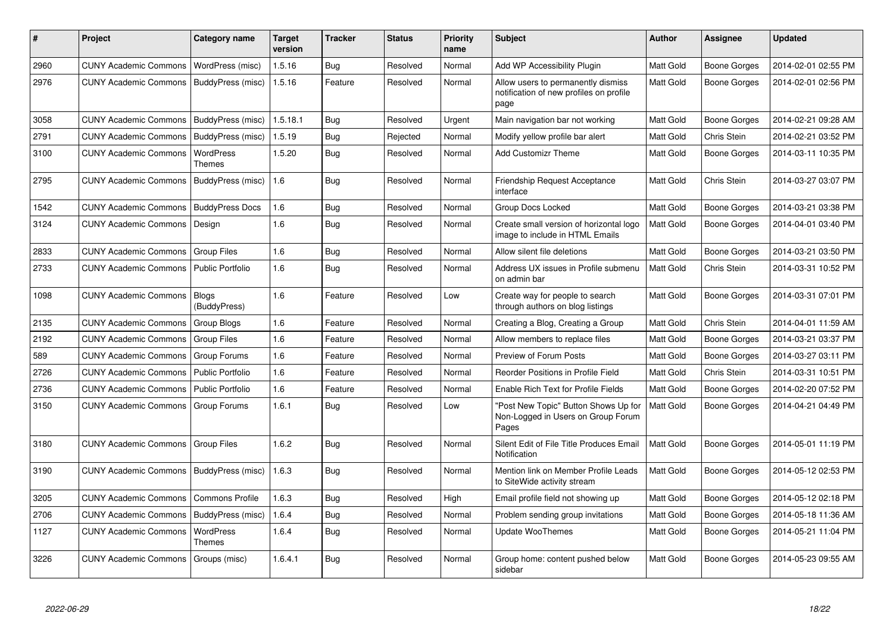| #    | <b>Project</b>               | Category name           | <b>Target</b><br>version | Tracker    | <b>Status</b> | <b>Priority</b><br>name | <b>Subject</b>                                                                        | <b>Author</b>    | Assignee            | <b>Updated</b>      |
|------|------------------------------|-------------------------|--------------------------|------------|---------------|-------------------------|---------------------------------------------------------------------------------------|------------------|---------------------|---------------------|
| 2960 | <b>CUNY Academic Commons</b> | WordPress (misc)        | 1.5.16                   | Bug        | Resolved      | Normal                  | Add WP Accessibility Plugin                                                           | Matt Gold        | Boone Gorges        | 2014-02-01 02:55 PM |
| 2976 | <b>CUNY Academic Commons</b> | BuddyPress (misc)       | 1.5.16                   | Feature    | Resolved      | Normal                  | Allow users to permanently dismiss<br>notification of new profiles on profile<br>page | Matt Gold        | <b>Boone Gorges</b> | 2014-02-01 02:56 PM |
| 3058 | <b>CUNY Academic Commons</b> | BuddyPress (misc)       | 1.5.18.1                 | <b>Bug</b> | Resolved      | Urgent                  | Main navigation bar not working                                                       | Matt Gold        | Boone Gorges        | 2014-02-21 09:28 AM |
| 2791 | <b>CUNY Academic Commons</b> | BuddyPress (misc)       | 1.5.19                   | Bug        | Rejected      | Normal                  | Modify yellow profile bar alert                                                       | Matt Gold        | Chris Stein         | 2014-02-21 03:52 PM |
| 3100 | <b>CUNY Academic Commons</b> | WordPress<br>Themes     | 1.5.20                   | <b>Bug</b> | Resolved      | Normal                  | <b>Add Customizr Theme</b>                                                            | Matt Gold        | Boone Gorges        | 2014-03-11 10:35 PM |
| 2795 | <b>CUNY Academic Commons</b> | BuddyPress (misc)       | 1.6                      | Bug        | Resolved      | Normal                  | <b>Friendship Request Acceptance</b><br>interface                                     | Matt Gold        | Chris Stein         | 2014-03-27 03:07 PM |
| 1542 | <b>CUNY Academic Commons</b> | <b>BuddyPress Docs</b>  | 1.6                      | <b>Bug</b> | Resolved      | Normal                  | Group Docs Locked                                                                     | Matt Gold        | Boone Gorges        | 2014-03-21 03:38 PM |
| 3124 | <b>CUNY Academic Commons</b> | Design                  | 1.6                      | Bug        | Resolved      | Normal                  | Create small version of horizontal logo<br>image to include in HTML Emails            | Matt Gold        | Boone Gorges        | 2014-04-01 03:40 PM |
| 2833 | <b>CUNY Academic Commons</b> | <b>Group Files</b>      | 1.6                      | <b>Bug</b> | Resolved      | Normal                  | Allow silent file deletions                                                           | Matt Gold        | Boone Gorges        | 2014-03-21 03:50 PM |
| 2733 | <b>CUNY Academic Commons</b> | <b>Public Portfolio</b> | 1.6                      | <b>Bug</b> | Resolved      | Normal                  | Address UX issues in Profile submenu<br>on admin bar                                  | <b>Matt Gold</b> | Chris Stein         | 2014-03-31 10:52 PM |
| 1098 | <b>CUNY Academic Commons</b> | Blogs<br>(BuddyPress)   | 1.6                      | Feature    | Resolved      | Low                     | Create way for people to search<br>through authors on blog listings                   | Matt Gold        | <b>Boone Gorges</b> | 2014-03-31 07:01 PM |
| 2135 | <b>CUNY Academic Commons</b> | Group Blogs             | 1.6                      | Feature    | Resolved      | Normal                  | Creating a Blog, Creating a Group                                                     | Matt Gold        | Chris Stein         | 2014-04-01 11:59 AM |
| 2192 | <b>CUNY Academic Commons</b> | <b>Group Files</b>      | 1.6                      | Feature    | Resolved      | Normal                  | Allow members to replace files                                                        | Matt Gold        | Boone Gorges        | 2014-03-21 03:37 PM |
| 589  | <b>CUNY Academic Commons</b> | Group Forums            | 1.6                      | Feature    | Resolved      | Normal                  | Preview of Forum Posts                                                                | Matt Gold        | <b>Boone Gorges</b> | 2014-03-27 03:11 PM |
| 2726 | <b>CUNY Academic Commons</b> | <b>Public Portfolio</b> | 1.6                      | Feature    | Resolved      | Normal                  | Reorder Positions in Profile Field                                                    | Matt Gold        | Chris Stein         | 2014-03-31 10:51 PM |
| 2736 | <b>CUNY Academic Commons</b> | <b>Public Portfolio</b> | 1.6                      | Feature    | Resolved      | Normal                  | Enable Rich Text for Profile Fields                                                   | Matt Gold        | Boone Gorges        | 2014-02-20 07:52 PM |
| 3150 | <b>CUNY Academic Commons</b> | Group Forums            | 1.6.1                    | <b>Bug</b> | Resolved      | Low                     | 'Post New Topic" Button Shows Up for<br>Non-Logged in Users on Group Forum<br>Pages   | Matt Gold        | <b>Boone Gorges</b> | 2014-04-21 04:49 PM |
| 3180 | <b>CUNY Academic Commons</b> | <b>Group Files</b>      | 1.6.2                    | Bug        | Resolved      | Normal                  | Silent Edit of File Title Produces Email<br>Notification                              | Matt Gold        | Boone Gorges        | 2014-05-01 11:19 PM |
| 3190 | <b>CUNY Academic Commons</b> | BuddyPress (misc)       | 1.6.3                    | <b>Bug</b> | Resolved      | Normal                  | Mention link on Member Profile Leads<br>to SiteWide activity stream                   | Matt Gold        | Boone Gorges        | 2014-05-12 02:53 PM |
| 3205 | <b>CUNY Academic Commons</b> | <b>Commons Profile</b>  | 1.6.3                    | Bug        | Resolved      | High                    | Email profile field not showing up                                                    | Matt Gold        | Boone Gorges        | 2014-05-12 02:18 PM |
| 2706 | <b>CUNY Academic Commons</b> | BuddyPress (misc)       | 1.6.4                    | Bug        | Resolved      | Normal                  | Problem sending group invitations                                                     | Matt Gold        | Boone Gorges        | 2014-05-18 11:36 AM |
| 1127 | <b>CUNY Academic Commons</b> | WordPress<br>Themes     | 1.6.4                    | <b>Bug</b> | Resolved      | Normal                  | Update WooThemes                                                                      | Matt Gold        | Boone Gorges        | 2014-05-21 11:04 PM |
| 3226 | <b>CUNY Academic Commons</b> | Groups (misc)           | 1.6.4.1                  | Bug        | Resolved      | Normal                  | Group home: content pushed below<br>sidebar                                           | Matt Gold        | <b>Boone Gorges</b> | 2014-05-23 09:55 AM |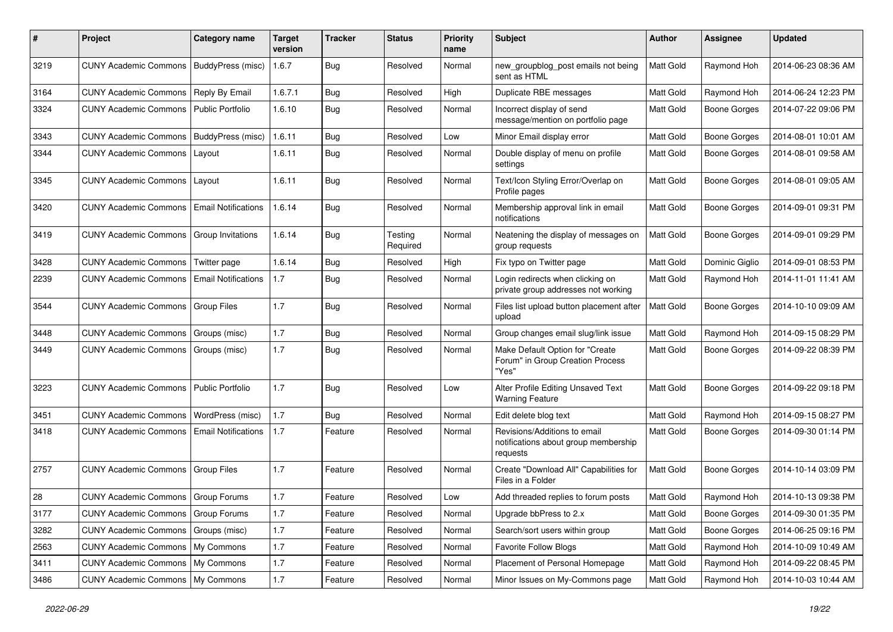| #    | Project                              | Category name              | <b>Target</b><br>version | <b>Tracker</b> | <b>Status</b>       | <b>Priority</b><br>name | Subject                                                                          | <b>Author</b> | Assignee            | <b>Updated</b>      |
|------|--------------------------------------|----------------------------|--------------------------|----------------|---------------------|-------------------------|----------------------------------------------------------------------------------|---------------|---------------------|---------------------|
| 3219 | <b>CUNY Academic Commons</b>         | BuddyPress (misc)          | 1.6.7                    | <b>Bug</b>     | Resolved            | Normal                  | new_groupblog_post emails not being<br>sent as HTML                              | Matt Gold     | Raymond Hoh         | 2014-06-23 08:36 AM |
| 3164 | <b>CUNY Academic Commons</b>         | Reply By Email             | 1.6.7.1                  | Bug            | Resolved            | High                    | Duplicate RBE messages                                                           | Matt Gold     | Raymond Hoh         | 2014-06-24 12:23 PM |
| 3324 | <b>CUNY Academic Commons</b>         | Public Portfolio           | 1.6.10                   | <b>Bug</b>     | Resolved            | Normal                  | Incorrect display of send<br>message/mention on portfolio page                   | Matt Gold     | <b>Boone Gorges</b> | 2014-07-22 09:06 PM |
| 3343 | <b>CUNY Academic Commons</b>         | BuddyPress (misc)          | 1.6.11                   | Bug            | Resolved            | Low                     | Minor Email display error                                                        | Matt Gold     | <b>Boone Gorges</b> | 2014-08-01 10:01 AM |
| 3344 | <b>CUNY Academic Commons</b>         | Layout                     | 1.6.11                   | <b>Bug</b>     | Resolved            | Normal                  | Double display of menu on profile<br>settings                                    | Matt Gold     | Boone Gorges        | 2014-08-01 09:58 AM |
| 3345 | <b>CUNY Academic Commons</b>         | Layout                     | 1.6.11                   | Bug            | Resolved            | Normal                  | Text/Icon Styling Error/Overlap on<br>Profile pages                              | Matt Gold     | <b>Boone Gorges</b> | 2014-08-01 09:05 AM |
| 3420 | <b>CUNY Academic Commons</b>         | <b>Email Notifications</b> | 1.6.14                   | <b>Bug</b>     | Resolved            | Normal                  | Membership approval link in email<br>notifications                               | Matt Gold     | Boone Gorges        | 2014-09-01 09:31 PM |
| 3419 | <b>CUNY Academic Commons</b>         | Group Invitations          | 1.6.14                   | Bug            | Testing<br>Required | Normal                  | Neatening the display of messages on<br>group requests                           | Matt Gold     | <b>Boone Gorges</b> | 2014-09-01 09:29 PM |
| 3428 | <b>CUNY Academic Commons</b>         | Twitter page               | 1.6.14                   | Bug            | Resolved            | High                    | Fix typo on Twitter page                                                         | Matt Gold     | Dominic Giglio      | 2014-09-01 08:53 PM |
| 2239 | <b>CUNY Academic Commons</b>         | <b>Email Notifications</b> | 1.7                      | <b>Bug</b>     | Resolved            | Normal                  | Login redirects when clicking on<br>private group addresses not working          | Matt Gold     | Raymond Hoh         | 2014-11-01 11:41 AM |
| 3544 | <b>CUNY Academic Commons</b>         | <b>Group Files</b>         | 1.7                      | Bug            | Resolved            | Normal                  | Files list upload button placement after<br>upload                               | Matt Gold     | <b>Boone Gorges</b> | 2014-10-10 09:09 AM |
| 3448 | <b>CUNY Academic Commons</b>         | Groups (misc)              | 1.7                      | <b>Bug</b>     | Resolved            | Normal                  | Group changes email slug/link issue                                              | Matt Gold     | Raymond Hoh         | 2014-09-15 08:29 PM |
| 3449 | <b>CUNY Academic Commons</b>         | Groups (misc)              | 1.7                      | Bug            | Resolved            | Normal                  | Make Default Option for "Create<br>Forum" in Group Creation Process<br>"Yes"     | Matt Gold     | Boone Gorges        | 2014-09-22 08:39 PM |
| 3223 | <b>CUNY Academic Commons</b>         | <b>Public Portfolio</b>    | 1.7                      | Bug            | Resolved            | Low                     | Alter Profile Editing Unsaved Text<br><b>Warning Feature</b>                     | Matt Gold     | <b>Boone Gorges</b> | 2014-09-22 09:18 PM |
| 3451 | <b>CUNY Academic Commons</b>         | WordPress (misc)           | 1.7                      | Bug            | Resolved            | Normal                  | Edit delete blog text                                                            | Matt Gold     | Raymond Hoh         | 2014-09-15 08:27 PM |
| 3418 | <b>CUNY Academic Commons</b>         | <b>Email Notifications</b> | 1.7                      | Feature        | Resolved            | Normal                  | Revisions/Additions to email<br>notifications about group membership<br>requests | Matt Gold     | Boone Gorges        | 2014-09-30 01:14 PM |
| 2757 | <b>CUNY Academic Commons</b>         | <b>Group Files</b>         | 1.7                      | Feature        | Resolved            | Normal                  | Create "Download All" Capabilities for<br>Files in a Folder                      | Matt Gold     | Boone Gorges        | 2014-10-14 03:09 PM |
| 28   | CUNY Academic Commons   Group Forums |                            | 1.7                      | Feature        | Resolved            | Low                     | Add threaded replies to forum posts                                              | Matt Gold     | Raymond Hoh         | 2014-10-13 09:38 PM |
| 3177 | CUNY Academic Commons   Group Forums |                            | $1.7$                    | Feature        | Resolved            | Normal                  | Upgrade bbPress to 2.x                                                           | Matt Gold     | <b>Boone Gorges</b> | 2014-09-30 01:35 PM |
| 3282 | <b>CUNY Academic Commons</b>         | Groups (misc)              | 1.7                      | Feature        | Resolved            | Normal                  | Search/sort users within group                                                   | Matt Gold     | <b>Boone Gorges</b> | 2014-06-25 09:16 PM |
| 2563 | CUNY Academic Commons   My Commons   |                            | $1.7$                    | Feature        | Resolved            | Normal                  | <b>Favorite Follow Blogs</b>                                                     | Matt Gold     | Raymond Hoh         | 2014-10-09 10:49 AM |
| 3411 | CUNY Academic Commons   My Commons   |                            | $1.7$                    | Feature        | Resolved            | Normal                  | Placement of Personal Homepage                                                   | Matt Gold     | Raymond Hoh         | 2014-09-22 08:45 PM |
| 3486 | CUNY Academic Commons   My Commons   |                            | $1.7\,$                  | Feature        | Resolved            | Normal                  | Minor Issues on My-Commons page                                                  | Matt Gold     | Raymond Hoh         | 2014-10-03 10:44 AM |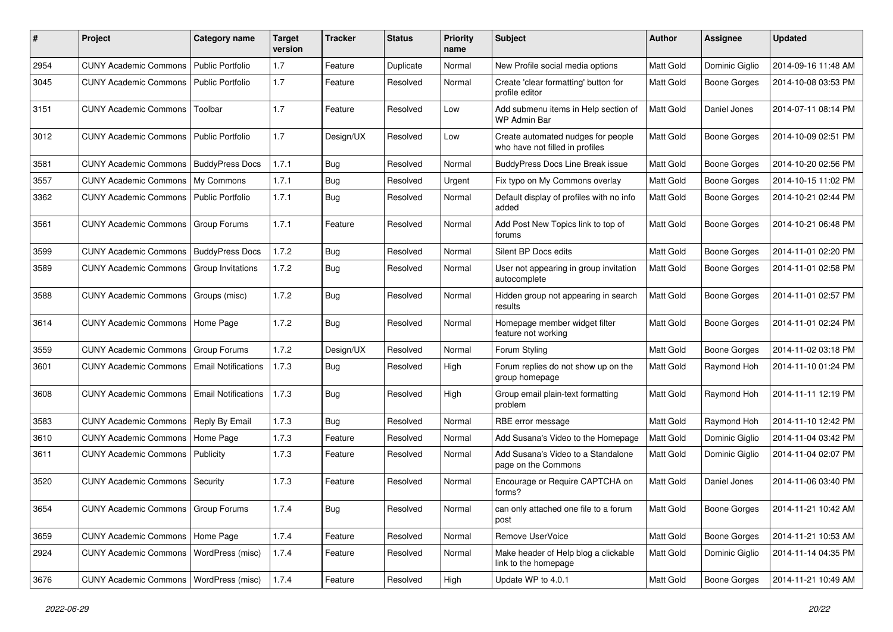| #    | Project                                  | Category name              | <b>Target</b><br>version | Tracker    | <b>Status</b> | <b>Priority</b><br>name | <b>Subject</b>                                                        | Author           | <b>Assignee</b>     | <b>Updated</b>      |
|------|------------------------------------------|----------------------------|--------------------------|------------|---------------|-------------------------|-----------------------------------------------------------------------|------------------|---------------------|---------------------|
| 2954 | <b>CUNY Academic Commons</b>             | Public Portfolio           | 1.7                      | Feature    | Duplicate     | Normal                  | New Profile social media options                                      | Matt Gold        | Dominic Giglio      | 2014-09-16 11:48 AM |
| 3045 | <b>CUNY Academic Commons</b>             | <b>Public Portfolio</b>    | 1.7                      | Feature    | Resolved      | Normal                  | Create 'clear formatting' button for<br>profile editor                | <b>Matt Gold</b> | Boone Gorges        | 2014-10-08 03:53 PM |
| 3151 | <b>CUNY Academic Commons</b>             | Toolbar                    | 1.7                      | Feature    | Resolved      | Low                     | Add submenu items in Help section of<br>WP Admin Bar                  | <b>Matt Gold</b> | Daniel Jones        | 2014-07-11 08:14 PM |
| 3012 | <b>CUNY Academic Commons</b>             | <b>Public Portfolio</b>    | 1.7                      | Design/UX  | Resolved      | Low                     | Create automated nudges for people<br>who have not filled in profiles | <b>Matt Gold</b> | <b>Boone Gorges</b> | 2014-10-09 02:51 PM |
| 3581 | <b>CUNY Academic Commons</b>             | <b>BuddyPress Docs</b>     | 1.7.1                    | Bug        | Resolved      | Normal                  | <b>BuddyPress Docs Line Break issue</b>                               | Matt Gold        | Boone Gorges        | 2014-10-20 02:56 PM |
| 3557 | <b>CUNY Academic Commons</b>             | My Commons                 | 1.7.1                    | Bug        | Resolved      | Urgent                  | Fix typo on My Commons overlay                                        | Matt Gold        | <b>Boone Gorges</b> | 2014-10-15 11:02 PM |
| 3362 | <b>CUNY Academic Commons</b>             | Public Portfolio           | 1.7.1                    | Bug        | Resolved      | Normal                  | Default display of profiles with no info<br>added                     | <b>Matt Gold</b> | <b>Boone Gorges</b> | 2014-10-21 02:44 PM |
| 3561 | <b>CUNY Academic Commons</b>             | Group Forums               | 1.7.1                    | Feature    | Resolved      | Normal                  | Add Post New Topics link to top of<br>forums                          | Matt Gold        | <b>Boone Gorges</b> | 2014-10-21 06:48 PM |
| 3599 | <b>CUNY Academic Commons</b>             | <b>BuddyPress Docs</b>     | 1.7.2                    | Bug        | Resolved      | Normal                  | Silent BP Docs edits                                                  | Matt Gold        | <b>Boone Gorges</b> | 2014-11-01 02:20 PM |
| 3589 | <b>CUNY Academic Commons</b>             | Group Invitations          | 1.7.2                    | <b>Bug</b> | Resolved      | Normal                  | User not appearing in group invitation<br>autocomplete                | Matt Gold        | <b>Boone Gorges</b> | 2014-11-01 02:58 PM |
| 3588 | <b>CUNY Academic Commons</b>             | Groups (misc)              | 1.7.2                    | Bug        | Resolved      | Normal                  | Hidden group not appearing in search<br>results                       | <b>Matt Gold</b> | Boone Gorges        | 2014-11-01 02:57 PM |
| 3614 | <b>CUNY Academic Commons</b>             | Home Page                  | 1.7.2                    | Bug        | Resolved      | Normal                  | Homepage member widget filter<br>feature not working                  | Matt Gold        | <b>Boone Gorges</b> | 2014-11-01 02:24 PM |
| 3559 | <b>CUNY Academic Commons</b>             | Group Forums               | 1.7.2                    | Design/UX  | Resolved      | Normal                  | Forum Styling                                                         | Matt Gold        | <b>Boone Gorges</b> | 2014-11-02 03:18 PM |
| 3601 | <b>CUNY Academic Commons</b>             | <b>Email Notifications</b> | 1.7.3                    | Bug        | Resolved      | High                    | Forum replies do not show up on the<br>group homepage                 | <b>Matt Gold</b> | Raymond Hoh         | 2014-11-10 01:24 PM |
| 3608 | <b>CUNY Academic Commons</b>             | <b>Email Notifications</b> | 1.7.3                    | Bug        | Resolved      | High                    | Group email plain-text formatting<br>problem                          | <b>Matt Gold</b> | Raymond Hoh         | 2014-11-11 12:19 PM |
| 3583 | <b>CUNY Academic Commons</b>             | Reply By Email             | 1.7.3                    | <b>Bug</b> | Resolved      | Normal                  | RBE error message                                                     | Matt Gold        | Raymond Hoh         | 2014-11-10 12:42 PM |
| 3610 | <b>CUNY Academic Commons</b>             | Home Page                  | 1.7.3                    | Feature    | Resolved      | Normal                  | Add Susana's Video to the Homepage                                    | Matt Gold        | Dominic Giglio      | 2014-11-04 03:42 PM |
| 3611 | <b>CUNY Academic Commons</b>             | Publicity                  | 1.7.3                    | Feature    | Resolved      | Normal                  | Add Susana's Video to a Standalone<br>page on the Commons             | <b>Matt Gold</b> | Dominic Giglio      | 2014-11-04 02:07 PM |
| 3520 | <b>CUNY Academic Commons</b>             | Security                   | 1.7.3                    | Feature    | Resolved      | Normal                  | Encourage or Require CAPTCHA on<br>forms?                             | <b>Matt Gold</b> | Daniel Jones        | 2014-11-06 03:40 PM |
| 3654 | CUNY Academic Commons   Group Forums     |                            | 1.7.4                    | <b>Bug</b> | Resolved      | Normal                  | can only attached one file to a forum<br>post                         | Matt Gold        | Boone Gorges        | 2014-11-21 10:42 AM |
| 3659 | CUNY Academic Commons   Home Page        |                            | 1.7.4                    | Feature    | Resolved      | Normal                  | Remove UserVoice                                                      | Matt Gold        | Boone Gorges        | 2014-11-21 10:53 AM |
| 2924 | <b>CUNY Academic Commons</b>             | WordPress (misc)           | 1.7.4                    | Feature    | Resolved      | Normal                  | Make header of Help blog a clickable<br>link to the homepage          | Matt Gold        | Dominic Giglio      | 2014-11-14 04:35 PM |
| 3676 | CUNY Academic Commons   WordPress (misc) |                            | 1.7.4                    | Feature    | Resolved      | High                    | Update WP to 4.0.1                                                    | Matt Gold        | Boone Gorges        | 2014-11-21 10:49 AM |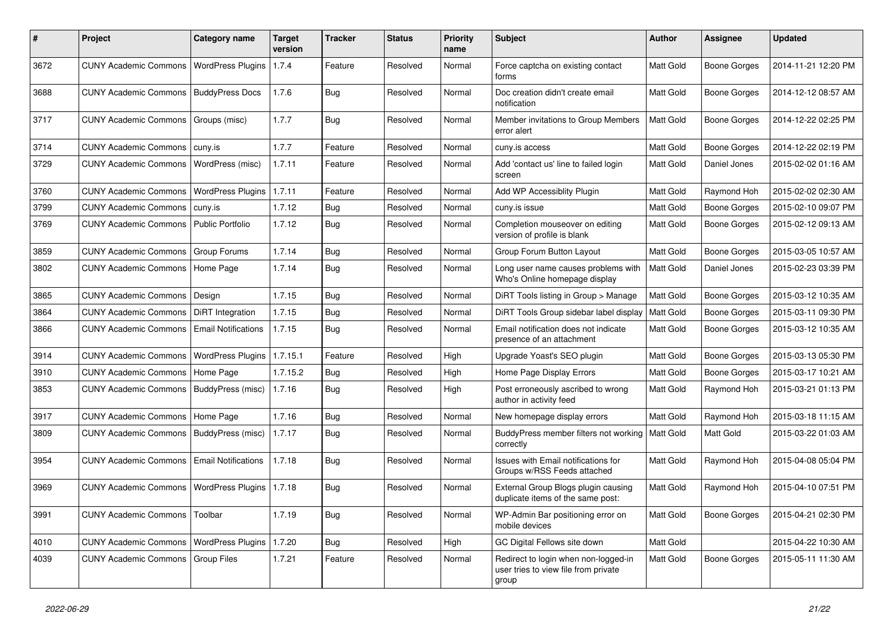| #    | Project                      | <b>Category name</b>       | <b>Target</b><br>version | <b>Tracker</b> | <b>Status</b> | <b>Priority</b><br>name | Subject                                                                               | <b>Author</b>    | <b>Assignee</b>     | <b>Updated</b>      |
|------|------------------------------|----------------------------|--------------------------|----------------|---------------|-------------------------|---------------------------------------------------------------------------------------|------------------|---------------------|---------------------|
| 3672 | <b>CUNY Academic Commons</b> | <b>WordPress Plugins</b>   | 1.7.4                    | Feature        | Resolved      | Normal                  | Force captcha on existing contact<br>forms                                            | Matt Gold        | <b>Boone Gorges</b> | 2014-11-21 12:20 PM |
| 3688 | <b>CUNY Academic Commons</b> | <b>BuddyPress Docs</b>     | 1.7.6                    | <b>Bug</b>     | Resolved      | Normal                  | Doc creation didn't create email<br>notification                                      | Matt Gold        | <b>Boone Gorges</b> | 2014-12-12 08:57 AM |
| 3717 | <b>CUNY Academic Commons</b> | Groups (misc)              | 1.7.7                    | Bug            | Resolved      | Normal                  | Member invitations to Group Members<br>error alert                                    | Matt Gold        | <b>Boone Gorges</b> | 2014-12-22 02:25 PM |
| 3714 | <b>CUNY Academic Commons</b> | cuny.is                    | 1.7.7                    | Feature        | Resolved      | Normal                  | cuny.is access                                                                        | Matt Gold        | <b>Boone Gorges</b> | 2014-12-22 02:19 PM |
| 3729 | <b>CUNY Academic Commons</b> | WordPress (misc)           | 1.7.11                   | Feature        | Resolved      | Normal                  | Add 'contact us' line to failed login<br>screen                                       | Matt Gold        | Daniel Jones        | 2015-02-02 01:16 AM |
| 3760 | <b>CUNY Academic Commons</b> | <b>WordPress Plugins</b>   | 1.7.11                   | Feature        | Resolved      | Normal                  | Add WP Accessiblity Plugin                                                            | Matt Gold        | Raymond Hoh         | 2015-02-02 02:30 AM |
| 3799 | <b>CUNY Academic Commons</b> | cuny.is                    | 1.7.12                   | Bug            | Resolved      | Normal                  | cuny.is issue                                                                         | Matt Gold        | Boone Gorges        | 2015-02-10 09:07 PM |
| 3769 | <b>CUNY Academic Commons</b> | Public Portfolio           | 1.7.12                   | Bug            | Resolved      | Normal                  | Completion mouseover on editing<br>version of profile is blank                        | Matt Gold        | <b>Boone Gorges</b> | 2015-02-12 09:13 AM |
| 3859 | <b>CUNY Academic Commons</b> | <b>Group Forums</b>        | 1.7.14                   | <b>Bug</b>     | Resolved      | Normal                  | Group Forum Button Layout                                                             | Matt Gold        | <b>Boone Gorges</b> | 2015-03-05 10:57 AM |
| 3802 | <b>CUNY Academic Commons</b> | Home Page                  | 1.7.14                   | Bug            | Resolved      | Normal                  | Long user name causes problems with<br>Who's Online homepage display                  | Matt Gold        | Daniel Jones        | 2015-02-23 03:39 PM |
| 3865 | <b>CUNY Academic Commons</b> | Design                     | 1.7.15                   | Bug            | Resolved      | Normal                  | DiRT Tools listing in Group > Manage                                                  | Matt Gold        | <b>Boone Gorges</b> | 2015-03-12 10:35 AM |
| 3864 | <b>CUNY Academic Commons</b> | <b>DiRT</b> Integration    | 1.7.15                   | Bug            | Resolved      | Normal                  | DiRT Tools Group sidebar label display                                                | Matt Gold        | <b>Boone Gorges</b> | 2015-03-11 09:30 PM |
| 3866 | <b>CUNY Academic Commons</b> | <b>Email Notifications</b> | 1.7.15                   | Bug            | Resolved      | Normal                  | Email notification does not indicate<br>presence of an attachment                     | Matt Gold        | <b>Boone Gorges</b> | 2015-03-12 10:35 AM |
| 3914 | <b>CUNY Academic Commons</b> | <b>WordPress Plugins</b>   | 1.7.15.1                 | Feature        | Resolved      | High                    | Upgrade Yoast's SEO plugin                                                            | Matt Gold        | <b>Boone Gorges</b> | 2015-03-13 05:30 PM |
| 3910 | <b>CUNY Academic Commons</b> | Home Page                  | 1.7.15.2                 | Bug            | Resolved      | High                    | Home Page Display Errors                                                              | Matt Gold        | <b>Boone Gorges</b> | 2015-03-17 10:21 AM |
| 3853 | <b>CUNY Academic Commons</b> | BuddyPress (misc)          | 1.7.16                   | Bug            | Resolved      | High                    | Post erroneously ascribed to wrong<br>author in activity feed                         | Matt Gold        | Raymond Hoh         | 2015-03-21 01:13 PM |
| 3917 | <b>CUNY Academic Commons</b> | Home Page                  | 1.7.16                   | <b>Bug</b>     | Resolved      | Normal                  | New homepage display errors                                                           | Matt Gold        | Raymond Hoh         | 2015-03-18 11:15 AM |
| 3809 | <b>CUNY Academic Commons</b> | BuddyPress (misc)          | 1.7.17                   | Bug            | Resolved      | Normal                  | BuddyPress member filters not working<br>correctly                                    | <b>Matt Gold</b> | Matt Gold           | 2015-03-22 01:03 AM |
| 3954 | <b>CUNY Academic Commons</b> | <b>Email Notifications</b> | 1.7.18                   | <b>Bug</b>     | Resolved      | Normal                  | Issues with Email notifications for<br>Groups w/RSS Feeds attached                    | Matt Gold        | Raymond Hoh         | 2015-04-08 05:04 PM |
| 3969 | <b>CUNY Academic Commons</b> | <b>WordPress Plugins</b>   | 1.7.18                   | Bug            | Resolved      | Normal                  | External Group Blogs plugin causing<br>duplicate items of the same post:              | Matt Gold        | Raymond Hoh         | 2015-04-10 07:51 PM |
| 3991 | <b>CUNY Academic Commons</b> | Toolbar                    | 1.7.19                   | <b>Bug</b>     | Resolved      | Normal                  | WP-Admin Bar positioning error on<br>mobile devices                                   | Matt Gold        | Boone Gorges        | 2015-04-21 02:30 PM |
| 4010 | <b>CUNY Academic Commons</b> | <b>WordPress Plugins</b>   | 1.7.20                   | Bug            | Resolved      | High                    | GC Digital Fellows site down                                                          | Matt Gold        |                     | 2015-04-22 10:30 AM |
| 4039 | <b>CUNY Academic Commons</b> | Group Files                | 1.7.21                   | Feature        | Resolved      | Normal                  | Redirect to login when non-logged-in<br>user tries to view file from private<br>group | Matt Gold        | <b>Boone Gorges</b> | 2015-05-11 11:30 AM |